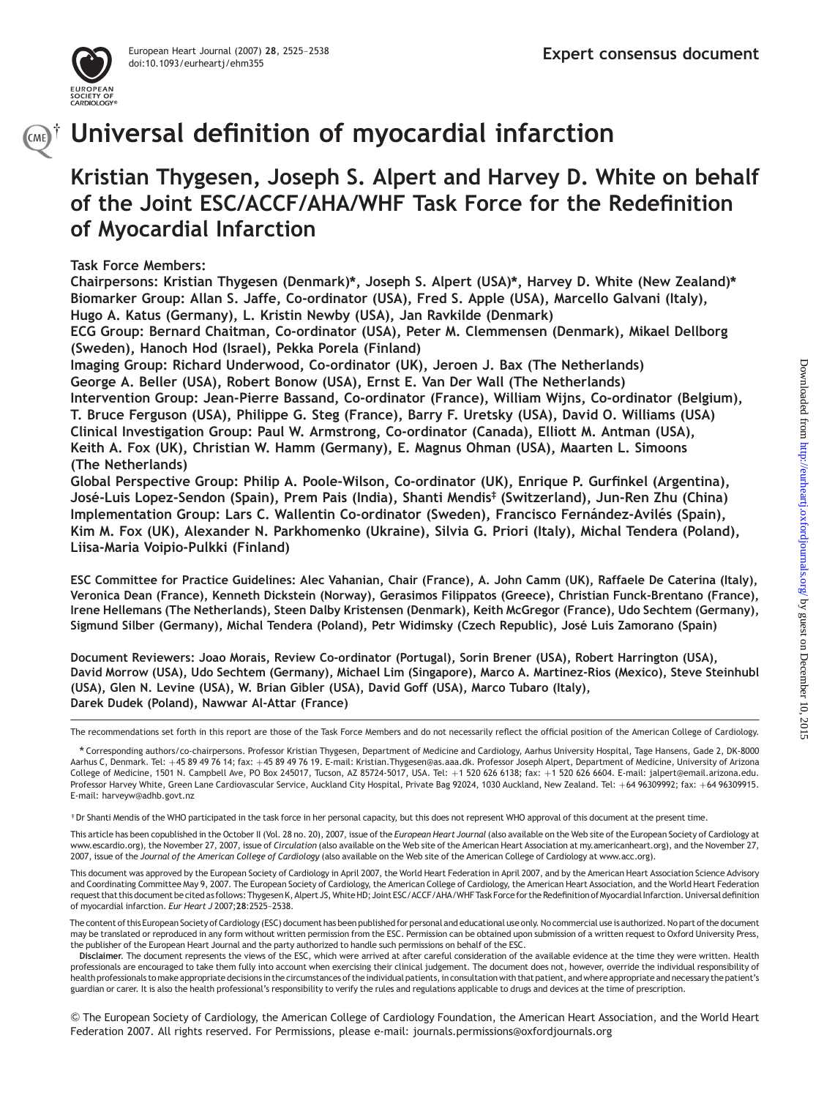

# **WELD TRIME Universal definition of myocardial infarction**

# Kristian Thygesen, Joseph S. Alpert and Harvey D. White on behalf of the Joint ESC/ACCF/AHA/WHF Task Force for the Redefinition of Myocardial Infarction

# Task Force Members:

Chairpersons: Kristian Thygesen (Denmark)\*, Joseph S. Alpert (USA)\*, Harvey D. White (New Zealand)\* Biomarker Group: Allan S. Jaffe, Co-ordinator (USA), Fred S. Apple (USA), Marcello Galvani (Italy), Hugo A. Katus (Germany), L. Kristin Newby (USA), Jan Ravkilde (Denmark)

ECG Group: Bernard Chaitman, Co-ordinator (USA), Peter M. Clemmensen (Denmark), Mikael Dellborg (Sweden), Hanoch Hod (Israel), Pekka Porela (Finland)

Imaging Group: Richard Underwood, Co-ordinator (UK), Jeroen J. Bax (The Netherlands) George A. Beller (USA), Robert Bonow (USA), Ernst E. Van Der Wall (The Netherlands)

Intervention Group: Jean-Pierre Bassand, Co-ordinator (France), William Wijns, Co-ordinator (Belgium), T. Bruce Ferguson (USA), Philippe G. Steg (France), Barry F. Uretsky (USA), David O. Williams (USA) Clinical Investigation Group: Paul W. Armstrong, Co-ordinator (Canada), Elliott M. Antman (USA), Keith A. Fox (UK), Christian W. Hamm (Germany), E. Magnus Ohman (USA), Maarten L. Simoons (The Netherlands)

Global Perspective Group: Philip A. Poole-Wilson, Co-ordinator (UK), Enrique P. Gurfinkel (Argentina), José-Luis Lopez-Sendon (Spain), Prem Pais (India), Shanti Mendis‡ (Switzerland), Jun-Ren Zhu (China) Implementation Group: Lars C. Wallentin Co-ordinator (Sweden), Francisco Fernández-Avilés (Spain), Kim M. Fox (UK), Alexander N. Parkhomenko (Ukraine), Silvia G. Priori (Italy), Michal Tendera (Poland), Liisa-Maria Voipio-Pulkki (Finland)

ESC Committee for Practice Guidelines: Alec Vahanian, Chair (France), A. John Camm (UK), Raffaele De Caterina (Italy), Veronica Dean (France), Kenneth Dickstein (Norway), Gerasimos Filippatos (Greece), Christian Funck-Brentano (France), Irene Hellemans (The Netherlands), Steen Dalby Kristensen (Denmark), Keith McGregor (France), Udo Sechtem (Germany), Sigmund Silber (Germany), Michal Tendera (Poland), Petr Widimsky (Czech Republic), José Luis Zamorano (Spain)

Document Reviewers: Joao Morais, Review Co-ordinator (Portugal), Sorin Brener (USA), Robert Harrington (USA), David Morrow (USA), Udo Sechtem (Germany), Michael Lim (Singapore), Marco A. Martinez-Rios (Mexico), Steve Steinhubl (USA), Glen N. Levine (USA), W. Brian Gibler (USA), David Goff (USA), Marco Tubaro (Italy), Darek Dudek (Poland), Nawwar Al-Attar (France)

The recommendations set forth in this report are those of the Task Force Members and do not necessarily reflect the official position of the American College of Cardiology.

\* Corresponding authors/co-chairpersons. Professor Kristian Thygesen, Department of Medicine and Cardiology, Aarhus University Hospital, Tage Hansens, Gade 2, DK-8000 Aarhus C, Denmark. Tel: +45 89 49 76 14; fax: +45 89 49 76 19. E-mail: Kristian.Thygesen@as.aaa.dk. Professor Joseph Alpert, Department of Medicine, University of Arizona College of Medicine, 1501 N. Campbell Ave, PO Box 245017, Tucson, AZ 85724-5017, USA. Tel: +1 520 626 6138; fax: +1 520 626 6604. E-mail: jalpert@email.arizona.edu. Professor Harvey White, Green Lane Cardiovascular Service, Auckland City Hospital, Private Bag 92024, 1030 Auckland, New Zealand. Tel: +64 96309992; fax: +64 96309915. E-mail: harveyw@adhb.govt.nz

‡ Dr Shanti Mendis of the WHO participated in the task force in her personal capacity, but this does not represent WHO approval of this document at the present time.

This article has been copublished in the October II (Vol. 28 no. 20), 2007, issue of the European Heart Journal (also available on the Web site of the European Society of Cardiology at www.escardio.org), the November 27, 2007, issue of Circulation (also available on the Web site of the American Heart Association at my americanheart.org), and the November 27, 2007, issue of the Journal of the American College of Cardiology (also available on the Web site of the American College of Cardiology at www.acc.org).

This document was approved by the European Society of Cardiology in April 2007, the World Heart Federation in April 2007, and by the American Heart Association Science Advisory and Coordinating Committee May 9, 2007. The European Society of Cardiology, the American College of Cardiology, the American Heart Association, and the World Heart Federation request that this document be cited as follows: Thygesen K, Alpert JS, White HD; Joint ESC/ACCF/AHA/WHF Task Force for the Redefinition of Myocardial Infarction. Universal definition of myocardial infarction. Eur Heart J 2007;<sup>28</sup>:2525–2538.

The content of this European Society of Cardiology (ESC) document has been published for personal and educational use only. No commercial use is authorized. No part of the document may be translated or reproduced in any form without written permission from the ESC. Permission can be obtained upon submission of a written request to Oxford University Press, the publisher of the European Heart Journal and the party authorized to handle such permissions on behalf of the ESC.

Disclaimer. The document represents the views of the ESC, which were arrived at after careful consideration of the available evidence at the time they were written. Health professionals are encouraged to take them fully into account when exercising their clinical judgement. The document does not, however, override the individual responsibility of health professionals to make appropriate decisions in the circumstances of the individual patients, in consultation with that patient, and where appropriate and necessary the patient's guardian or carer. It is also the health professional's responsibility to verify the rules and regulations applicable to drugs and devices at the time of prescription.

& The European Society of Cardiology, the American College of Cardiology Foundation, the American Heart Association, and the World Heart Federation 2007. All rights reserved. For Permissions, please e-mail: journals.permissions@oxfordjournals.org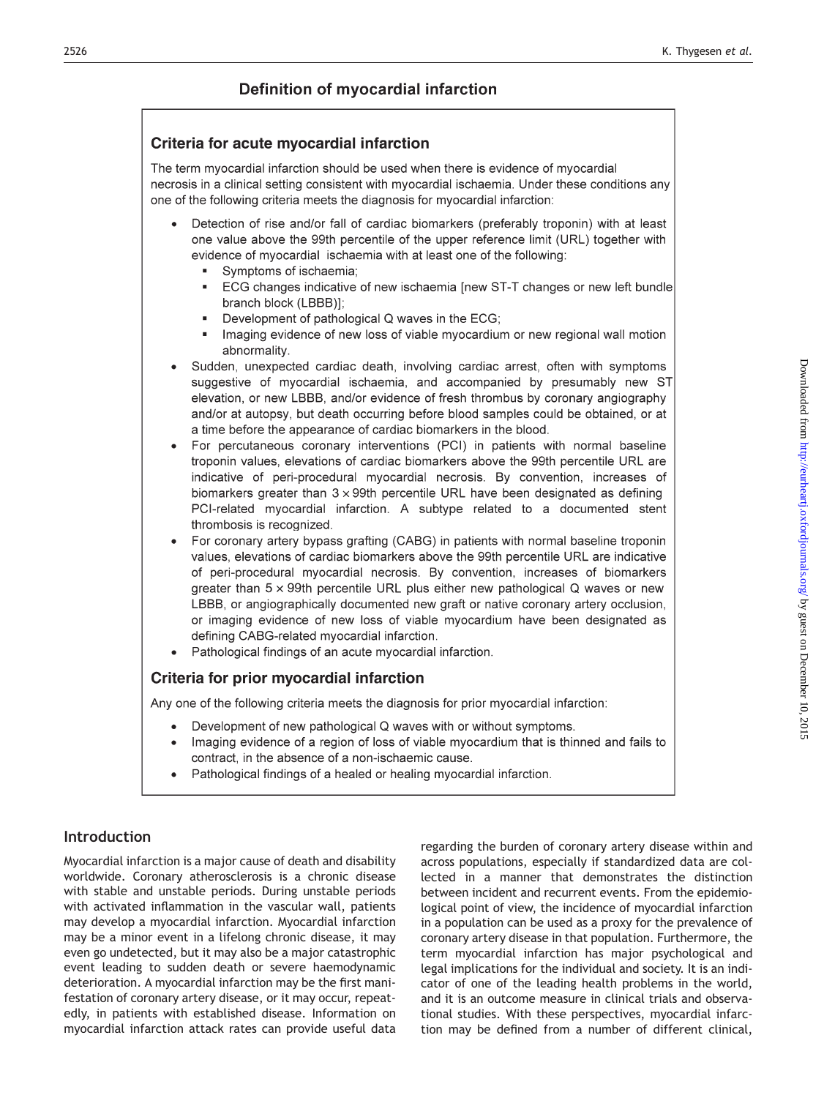# Definition of myocardial infarction

# Criteria for acute myocardial infarction

The term myocardial infarction should be used when there is evidence of myocardial necrosis in a clinical setting consistent with myocardial ischaemia. Under these conditions any one of the following criteria meets the diagnosis for myocardial infarction:

- Detection of rise and/or fall of cardiac biomarkers (preferably troponin) with at least one value above the 99th percentile of the upper reference limit (URL) together with evidence of myocardial ischaemia with at least one of the following:
	- $\blacksquare$ Symptoms of ischaemia;
	- $\blacksquare$ ECG changes indicative of new ischaemia [new ST-T changes or new left bundle branch block (LBBB)];
	- Development of pathological Q waves in the ECG;
	- Imaging evidence of new loss of viable myocardium or new regional wall motion abnormality.
- Sudden, unexpected cardiac death, involving cardiac arrest, often with symptoms suggestive of myocardial ischaemia, and accompanied by presumably new ST elevation, or new LBBB, and/or evidence of fresh thrombus by coronary angiography and/or at autopsy, but death occurring before blood samples could be obtained, or at a time before the appearance of cardiac biomarkers in the blood.
- For percutaneous coronary interventions (PCI) in patients with normal baseline  $\bullet$ troponin values, elevations of cardiac biomarkers above the 99th percentile URL are indicative of peri-procedural myocardial necrosis. By convention, increases of biomarkers greater than  $3 \times 99$ th percentile URL have been designated as defining PCI-related myocardial infarction. A subtype related to a documented stent thrombosis is recognized.
- For coronary artery bypass grafting (CABG) in patients with normal baseline troponin values, elevations of cardiac biomarkers above the 99th percentile URL are indicative of peri-procedural myocardial necrosis. By convention, increases of biomarkers greater than  $5 \times 99$ th percentile URL plus either new pathological Q waves or new LBBB, or angiographically documented new graft or native coronary artery occlusion, or imaging evidence of new loss of viable myocardium have been designated as defining CABG-related myocardial infarction.
- Pathological findings of an acute myocardial infarction.

# Criteria for prior myocardial infarction

Any one of the following criteria meets the diagnosis for prior myocardial infarction:

- Development of new pathological Q waves with or without symptoms.
- Imaging evidence of a region of loss of viable myocardium that is thinned and fails to contract, in the absence of a non-ischaemic cause.
- Pathological findings of a healed or healing myocardial infarction.

# Introduction

Myocardial infarction is a major cause of death and disability worldwide. Coronary atherosclerosis is a chronic disease with stable and unstable periods. During unstable periods with activated inflammation in the vascular wall, patients may develop a myocardial infarction. Myocardial infarction may be a minor event in a lifelong chronic disease, it may even go undetected, but it may also be a major catastrophic event leading to sudden death or severe haemodynamic deterioration. A myocardial infarction may be the first manifestation of coronary artery disease, or it may occur, repeatedly, in patients with established disease. Information on myocardial infarction attack rates can provide useful data regarding the burden of coronary artery disease within and across populations, especially if standardized data are collected in a manner that demonstrates the distinction between incident and recurrent events. From the epidemiological point of view, the incidence of myocardial infarction in a population can be used as a proxy for the prevalence of coronary artery disease in that population. Furthermore, the term myocardial infarction has major psychological and legal implications for the individual and society. It is an indicator of one of the leading health problems in the world, and it is an outcome measure in clinical trials and observational studies. With these perspectives, myocardial infarction may be defined from a number of different clinical,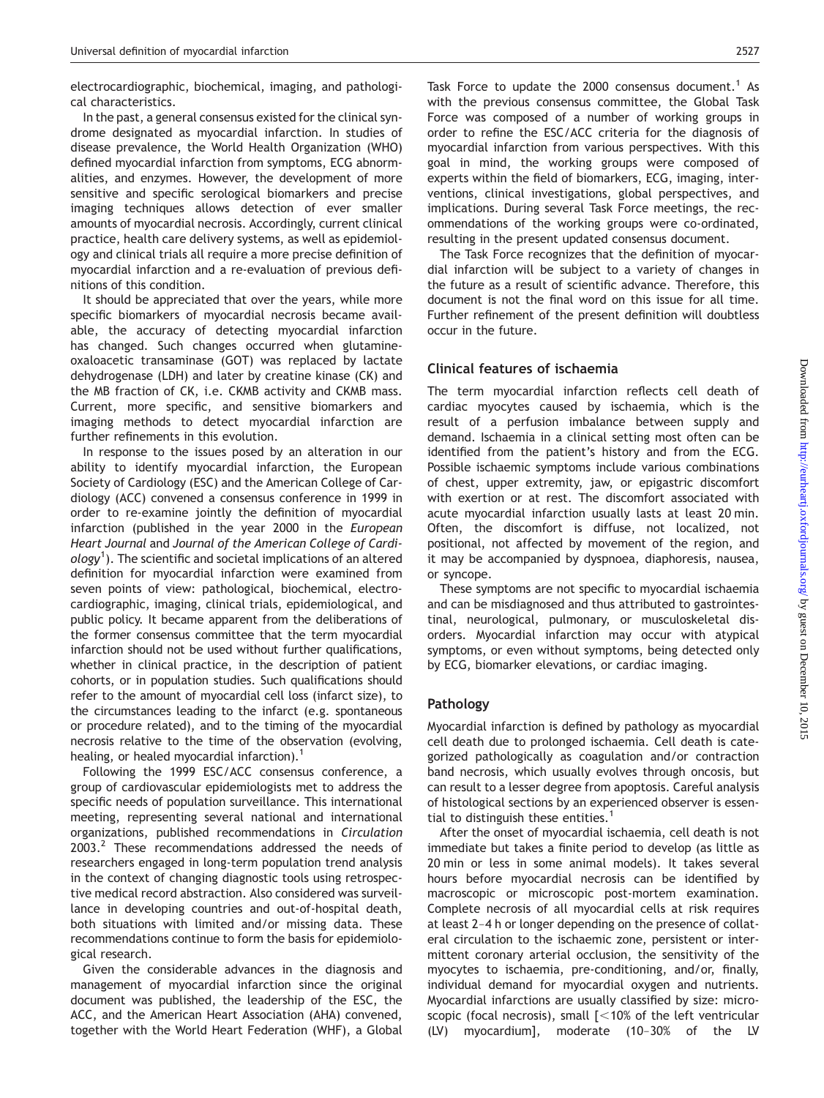electrocardiographic, biochemical, imaging, and pathological characteristics.

In the past, a general consensus existed for the clinical syndrome designated as myocardial infarction. In studies of disease prevalence, the World Health Organization (WHO) defined myocardial infarction from symptoms, ECG abnormalities, and enzymes. However, the development of more sensitive and specific serological biomarkers and precise imaging techniques allows detection of ever smaller amounts of myocardial necrosis. Accordingly, current clinical practice, health care delivery systems, as well as epidemiology and clinical trials all require a more precise definition of myocardial infarction and a re-evaluation of previous definitions of this condition.

It should be appreciated that over the years, while more specific biomarkers of myocardial necrosis became available, the accuracy of detecting myocardial infarction has changed. Such changes occurred when glutamineoxaloacetic transaminase (GOT) was replaced by lactate dehydrogenase (LDH) and later by creatine kinase (CK) and the MB fraction of CK, i.e. CKMB activity and CKMB mass. Current, more specific, and sensitive biomarkers and imaging methods to detect myocardial infarction are further refinements in this evolution.

In response to the issues posed by an alteration in our ability to identify myocardial infarction, the European Society of Cardiology (ESC) and the American College of Cardiology (ACC) convened a consensus conference in 1999 in order to re-examine jointly the definition of myocardial infarction (published in the year 2000 in the European Heart Journal and Journal of the American College of Cardi- $\text{ology}^1$ ). The scientific and societal implications of an altered definition for myocardial infarction were examined from seven points of view: pathological, biochemical, electrocardiographic, imaging, clinical trials, epidemiological, and public policy. It became apparent from the deliberations of the former consensus committee that the term myocardial infarction should not be used without further qualifications, whether in clinical practice, in the description of patient cohorts, or in population studies. Such qualifications should refer to the amount of myocardial cell loss (infarct size), to the circumstances leading to the infarct (e.g. spontaneous or procedure related), and to the timing of the myocardial necrosis relative to the time of the observation (evolving, healing, or healed myocardial infarction). $<sup>1</sup>$ </sup>

Following the 1999 ESC/ACC consensus conference, a group of cardiovascular epidemiologists met to address the specific needs of population surveillance. This international meeting, representing several national and international organizations, published recommendations in Circulation 2003.<sup>2</sup> These recommendations addressed the needs of researchers engaged in long-term population trend analysis in the context of changing diagnostic tools using retrospective medical record abstraction. Also considered was surveillance in developing countries and out-of-hospital death, both situations with limited and/or missing data. These recommendations continue to form the basis for epidemiological research.

Given the considerable advances in the diagnosis and management of myocardial infarction since the original document was published, the leadership of the ESC, the ACC, and the American Heart Association (AHA) convened, together with the World Heart Federation (WHF), a Global

Task Force to update the 2000 consensus document.<sup>1</sup> As with the previous consensus committee, the Global Task Force was composed of a number of working groups in order to refine the ESC/ACC criteria for the diagnosis of myocardial infarction from various perspectives. With this goal in mind, the working groups were composed of experts within the field of biomarkers, ECG, imaging, interventions, clinical investigations, global perspectives, and implications. During several Task Force meetings, the recommendations of the working groups were co-ordinated, resulting in the present updated consensus document.

The Task Force recognizes that the definition of myocardial infarction will be subject to a variety of changes in the future as a result of scientific advance. Therefore, this document is not the final word on this issue for all time. Further refinement of the present definition will doubtless occur in the future.

#### Clinical features of ischaemia

The term myocardial infarction reflects cell death of cardiac myocytes caused by ischaemia, which is the result of a perfusion imbalance between supply and demand. Ischaemia in a clinical setting most often can be identified from the patient's history and from the ECG. Possible ischaemic symptoms include various combinations of chest, upper extremity, jaw, or epigastric discomfort with exertion or at rest. The discomfort associated with acute myocardial infarction usually lasts at least 20 min. Often, the discomfort is diffuse, not localized, not positional, not affected by movement of the region, and it may be accompanied by dyspnoea, diaphoresis, nausea, or syncope.

These symptoms are not specific to myocardial ischaemia and can be misdiagnosed and thus attributed to gastrointestinal, neurological, pulmonary, or musculoskeletal disorders. Myocardial infarction may occur with atypical symptoms, or even without symptoms, being detected only by ECG, biomarker elevations, or cardiac imaging.

#### Pathology

Myocardial infarction is defined by pathology as myocardial cell death due to prolonged ischaemia. Cell death is categorized pathologically as coagulation and/or contraction band necrosis, which usually evolves through oncosis, but can result to a lesser degree from apoptosis. Careful analysis of histological sections by an experienced observer is essential to distinguish these entities.<sup>1</sup>

After the onset of myocardial ischaemia, cell death is not immediate but takes a finite period to develop (as little as 20 min or less in some animal models). It takes several hours before myocardial necrosis can be identified by macroscopic or microscopic post-mortem examination. Complete necrosis of all myocardial cells at risk requires at least 2–4 h or longer depending on the presence of collateral circulation to the ischaemic zone, persistent or intermittent coronary arterial occlusion, the sensitivity of the myocytes to ischaemia, pre-conditioning, and/or, finally, individual demand for myocardial oxygen and nutrients. Myocardial infarctions are usually classified by size: microscopic (focal necrosis), small  $\sim$  10% of the left ventricular (LV) myocardium], moderate (10–30% of the LV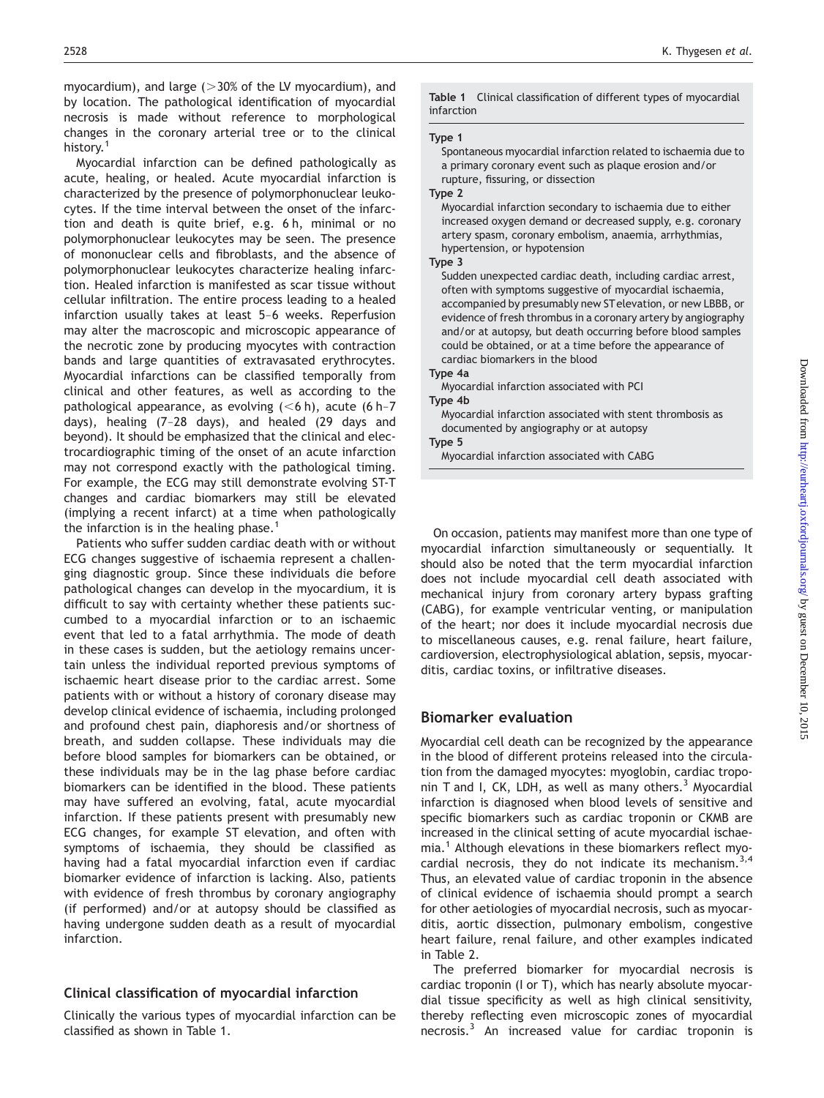myocardium), and large  $(>30\%$  of the LV myocardium), and by location. The pathological identification of myocardial necrosis is made without reference to morphological changes in the coronary arterial tree or to the clinical history.

Myocardial infarction can be defined pathologically as acute, healing, or healed. Acute myocardial infarction is characterized by the presence of polymorphonuclear leukocytes. If the time interval between the onset of the infarction and death is quite brief, e.g. 6 h, minimal or no polymorphonuclear leukocytes may be seen. The presence of mononuclear cells and fibroblasts, and the absence of polymorphonuclear leukocytes characterize healing infarction. Healed infarction is manifested as scar tissue without cellular infiltration. The entire process leading to a healed infarction usually takes at least 5–6 weeks. Reperfusion may alter the macroscopic and microscopic appearance of the necrotic zone by producing myocytes with contraction bands and large quantities of extravasated erythrocytes. Myocardial infarctions can be classified temporally from clinical and other features, as well as according to the pathological appearance, as evolving  $(< 6 h$ ), acute (6 h–7 days), healing (7–28 days), and healed (29 days and beyond). It should be emphasized that the clinical and electrocardiographic timing of the onset of an acute infarction may not correspond exactly with the pathological timing. For example, the ECG may still demonstrate evolving ST-T changes and cardiac biomarkers may still be elevated (implying a recent infarct) at a time when pathologically the infarction is in the healing phase.<sup>1</sup>

Patients who suffer sudden cardiac death with or without ECG changes suggestive of ischaemia represent a challenging diagnostic group. Since these individuals die before pathological changes can develop in the myocardium, it is difficult to say with certainty whether these patients succumbed to a myocardial infarction or to an ischaemic event that led to a fatal arrhythmia. The mode of death in these cases is sudden, but the aetiology remains uncertain unless the individual reported previous symptoms of ischaemic heart disease prior to the cardiac arrest. Some patients with or without a history of coronary disease may develop clinical evidence of ischaemia, including prolonged and profound chest pain, diaphoresis and/or shortness of breath, and sudden collapse. These individuals may die before blood samples for biomarkers can be obtained, or these individuals may be in the lag phase before cardiac biomarkers can be identified in the blood. These patients may have suffered an evolving, fatal, acute myocardial infarction. If these patients present with presumably new ECG changes, for example ST elevation, and often with symptoms of ischaemia, they should be classified as having had a fatal myocardial infarction even if cardiac biomarker evidence of infarction is lacking. Also, patients with evidence of fresh thrombus by coronary angiography (if performed) and/or at autopsy should be classified as having undergone sudden death as a result of myocardial infarction.

#### Clinical classification of myocardial infarction

Clinically the various types of myocardial infarction can be classified as shown in Table 1.

Table 1 Clinical classification of different types of myocardial infarction

#### Type 1

Spontaneous myocardial infarction related to ischaemia due to a primary coronary event such as plaque erosion and/or rupture, fissuring, or dissection

#### Type 2

Myocardial infarction secondary to ischaemia due to either increased oxygen demand or decreased supply, e.g. coronary artery spasm, coronary embolism, anaemia, arrhythmias, hypertension, or hypotension

#### Type 3

Sudden unexpected cardiac death, including cardiac arrest, often with symptoms suggestive of myocardial ischaemia, accompanied by presumably new ST elevation, or new LBBB, or evidence of fresh thrombus in a coronary artery by angiography and/or at autopsy, but death occurring before blood samples could be obtained, or at a time before the appearance of cardiac biomarkers in the blood

# Type 4a

Myocardial infarction associated with PCI Type 4b

Myocardial infarction associated with stent thrombosis as documented by angiography or at autopsy Type 5

Myocardial infarction associated with CABG

On occasion, patients may manifest more than one type of myocardial infarction simultaneously or sequentially. It should also be noted that the term myocardial infarction does not include myocardial cell death associated with mechanical injury from coronary artery bypass grafting (CABG), for example ventricular venting, or manipulation of the heart; nor does it include myocardial necrosis due to miscellaneous causes, e.g. renal failure, heart failure, cardioversion, electrophysiological ablation, sepsis, myocarditis, cardiac toxins, or infiltrative diseases.

#### Biomarker evaluation

Myocardial cell death can be recognized by the appearance in the blood of different proteins released into the circulation from the damaged myocytes: myoglobin, cardiac troponin T and I, CK, LDH, as well as many others.<sup>3</sup> Myocardial infarction is diagnosed when blood levels of sensitive and specific biomarkers such as cardiac troponin or CKMB are increased in the clinical setting of acute myocardial ischaemia.<sup>1</sup> Although elevations in these biomarkers reflect myocardial necrosis, they do not indicate its mechanism. $^{3,4}$ Thus, an elevated value of cardiac troponin in the absence of clinical evidence of ischaemia should prompt a search for other aetiologies of myocardial necrosis, such as myocarditis, aortic dissection, pulmonary embolism, congestive heart failure, renal failure, and other examples indicated in Table 2.

The preferred biomarker for myocardial necrosis is cardiac troponin (I or T), which has nearly absolute myocardial tissue specificity as well as high clinical sensitivity, thereby reflecting even microscopic zones of myocardial necrosis.<sup>3</sup> An increased value for cardiac troponin is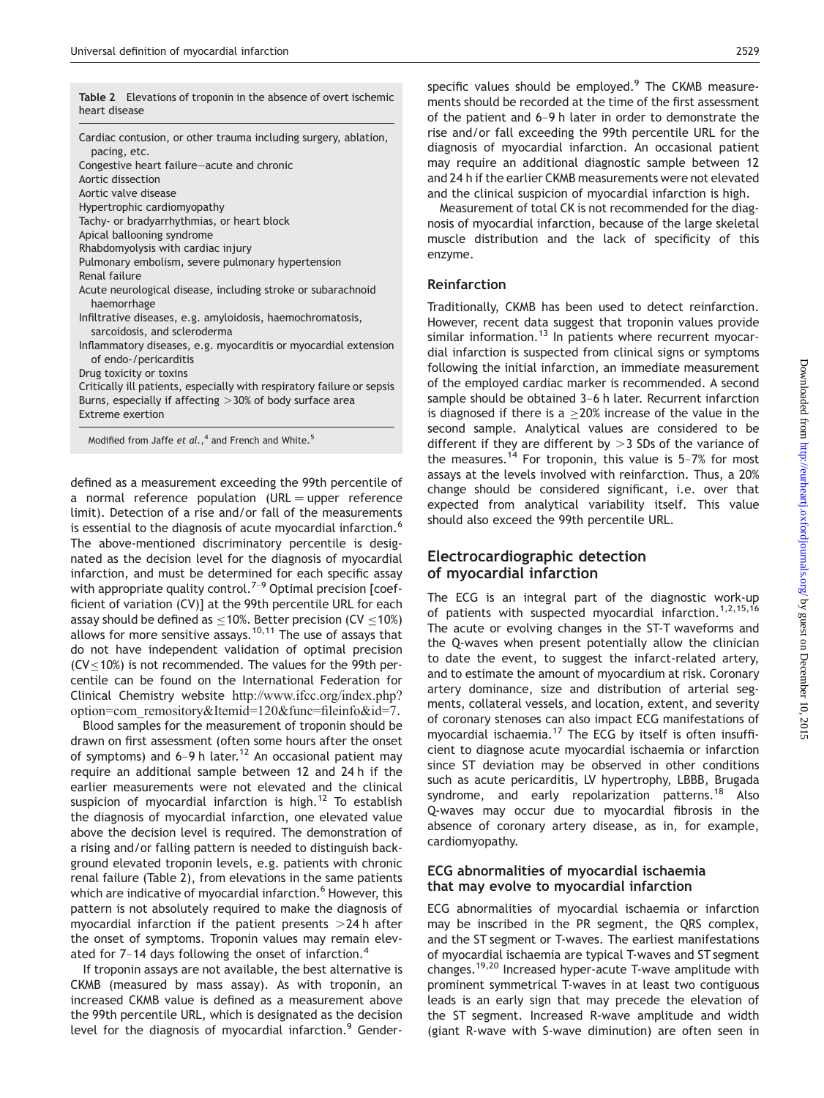Table 2 Elevations of troponin in the absence of overt ischemic heart disease

| Cardiac contusion, or other trauma including surgery, ablation,<br>pacing, etc.            |
|--------------------------------------------------------------------------------------------|
| Congestive heart failure–acute and chronic                                                 |
| Aortic dissection                                                                          |
| Aortic valve disease                                                                       |
| Hypertrophic cardiomyopathy                                                                |
| Tachy- or bradyarrhythmias, or heart block                                                 |
| Apical ballooning syndrome                                                                 |
| Rhabdomyolysis with cardiac injury                                                         |
| Pulmonary embolism, severe pulmonary hypertension                                          |
| Renal failure                                                                              |
| Acute neurological disease, including stroke or subarachnoid<br>haemorrhage                |
| Infiltrative diseases, e.g. amyloidosis, haemochromatosis,<br>sarcoidosis, and scleroderma |
| Inflammatory diseases, e.g. myocarditis or myocardial extension<br>of endo-/pericarditis   |
| Drug toxicity or toxins                                                                    |
| Critically ill patients, especially with respiratory failure or sepsis                     |
| Burns, especially if affecting $>$ 30% of body surface area                                |
| <b>Extreme exertion</b>                                                                    |
|                                                                                            |

Modified from Jaffe *et*  $al., ^4$  and French and White. $^5$ 

defined as a measurement exceeding the 99th percentile of a normal reference population  $(URL = upper reference$ limit). Detection of a rise and/or fall of the measurements is essential to the diagnosis of acute myocardial infarction.<sup>6</sup> The above-mentioned discriminatory percentile is designated as the decision level for the diagnosis of myocardial infarction, and must be determined for each specific assay with appropriate quality control.<sup>7-9</sup> Optimal precision  $[coef$ ficient of variation (CV)] at the 99th percentile URL for each assay should be defined as  $\leq$  10%. Better precision (CV  $\leq$  10%) allows for more sensitive assays.<sup>10,11</sup> The use of assays that do not have independent validation of optimal precision  $(CV \leq 10\%)$  is not recommended. The values for the 99th percentile can be found on the International Federation for Clinical Chemistry website http://www.ifcc.org/index.php? option=com\_remository&Itemid=120&func=fileinfo&id=7.

Blood samples for the measurement of troponin should be drawn on first assessment (often some hours after the onset of symptoms) and  $6-9$  h later.<sup>12</sup> An occasional patient may require an additional sample between 12 and 24 h if the earlier measurements were not elevated and the clinical suspicion of myocardial infarction is high. $12$  To establish the diagnosis of myocardial infarction, one elevated value above the decision level is required. The demonstration of a rising and/or falling pattern is needed to distinguish background elevated troponin levels, e.g. patients with chronic renal failure (Table 2), from elevations in the same patients which are indicative of myocardial infarction.<sup>6</sup> However, this pattern is not absolutely required to make the diagnosis of myocardial infarction if the patient presents  $>$ 24 h after the onset of symptoms. Troponin values may remain elevated for 7–14 days following the onset of infarction.<sup>4</sup>

If troponin assays are not available, the best alternative is CKMB (measured by mass assay). As with troponin, an increased CKMB value is defined as a measurement above the 99th percentile URL, which is designated as the decision level for the diagnosis of myocardial infarction.<sup>9</sup> Gender-

Measurement of total CK is not recommended for the diagnosis of myocardial infarction, because of the large skeletal muscle distribution and the lack of specificity of this enzyme.

#### Reinfarction

Traditionally, CKMB has been used to detect reinfarction. However, recent data suggest that troponin values provide similar information. $13$  In patients where recurrent myocardial infarction is suspected from clinical signs or symptoms following the initial infarction, an immediate measurement of the employed cardiac marker is recommended. A second sample should be obtained 3–6 h later. Recurrent infarction is diagnosed if there is a  $\geq$  20% increase of the value in the second sample. Analytical values are considered to be different if they are different by  $>$ 3 SDs of the variance of the measures.<sup>14</sup> For troponin, this value is  $5-7%$  for most assays at the levels involved with reinfarction. Thus, a 20% change should be considered significant, i.e. over that expected from analytical variability itself. This value should also exceed the 99th percentile URL.

# Electrocardiographic detection of myocardial infarction

The ECG is an integral part of the diagnostic work-up of patients with suspected myocardial infarction.<sup>1,2,15,16</sup> The acute or evolving changes in the ST-T waveforms and the Q-waves when present potentially allow the clinician to date the event, to suggest the infarct-related artery, and to estimate the amount of myocardium at risk. Coronary artery dominance, size and distribution of arterial segments, collateral vessels, and location, extent, and severity of coronary stenoses can also impact ECG manifestations of myocardial ischaemia.<sup>17</sup> The ECG by itself is often insufficient to diagnose acute myocardial ischaemia or infarction since ST deviation may be observed in other conditions such as acute pericarditis, LV hypertrophy, LBBB, Brugada syndrome, and early repolarization patterns.<sup>18</sup> Also Q-waves may occur due to myocardial fibrosis in the absence of coronary artery disease, as in, for example, cardiomyopathy.

#### ECG abnormalities of myocardial ischaemia that may evolve to myocardial infarction

ECG abnormalities of myocardial ischaemia or infarction may be inscribed in the PR segment, the QRS complex, and the ST segment or T-waves. The earliest manifestations of myocardial ischaemia are typical T-waves and ST segment changes.19,20 Increased hyper-acute T-wave amplitude with prominent symmetrical T-waves in at least two contiguous leads is an early sign that may precede the elevation of the ST segment. Increased R-wave amplitude and width (giant R-wave with S-wave diminution) are often seen in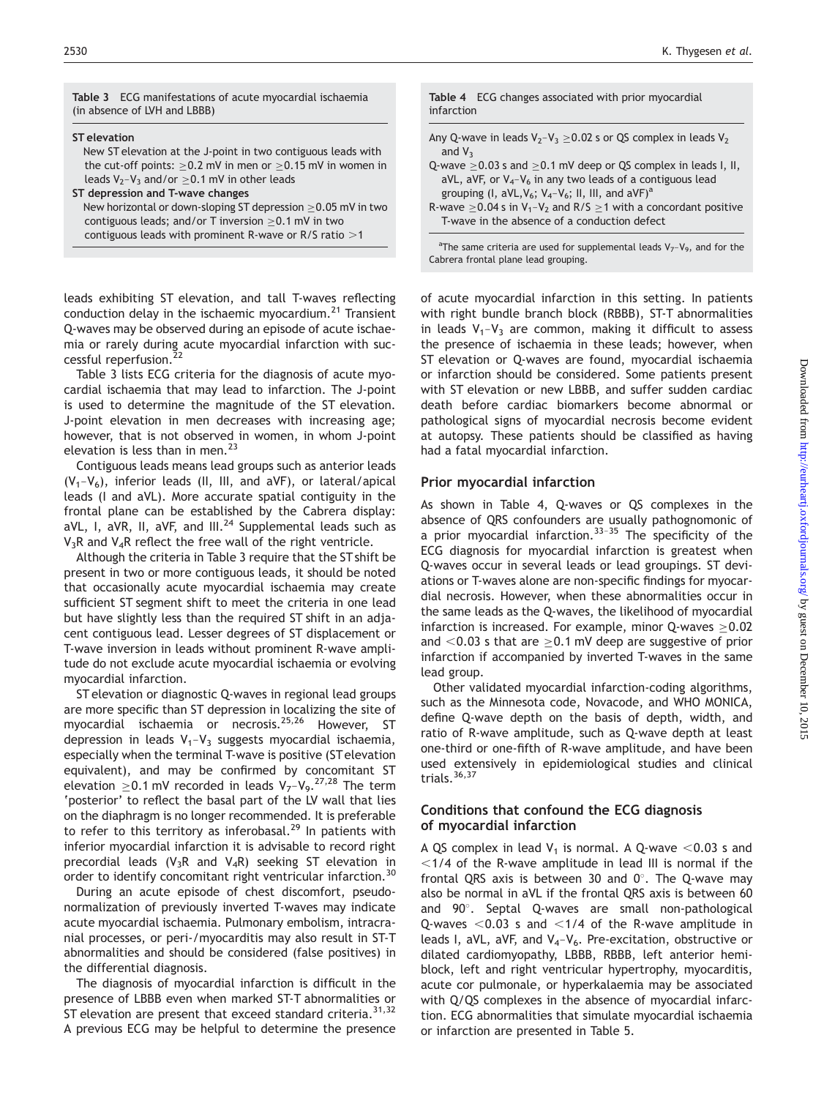Table 3 ECG manifestations of acute myocardial ischaemia (in absence of LVH and LBBB)

#### ST elevation

- New ST elevation at the J-point in two contiguous leads with the cut-off points:  $\geq$  0.2 mV in men or  $\geq$  0.15 mV in women in leads  $V_2-V_3$  and/or  $\geq$  0.1 mV in other leads
- ST depression and T-wave changes
- New horizontal or down-sloping ST depression  $\geq$  0.05 mV in two contiguous leads; and/or T inversion  $\geq$  0.1 mV in two contiguous leads with prominent R-wave or R/S ratio  $>1$

leads exhibiting ST elevation, and tall T-waves reflecting conduction delay in the ischaemic myocardium. $^{21}$  Transient Q-waves may be observed during an episode of acute ischaemia or rarely during acute myocardial infarction with successful reperfusion.<sup>22</sup>

Table 3 lists ECG criteria for the diagnosis of acute myocardial ischaemia that may lead to infarction. The J-point is used to determine the magnitude of the ST elevation. J-point elevation in men decreases with increasing age; however, that is not observed in women, in whom J-point elevation is less than in men. $^{23}$ 

Contiguous leads means lead groups such as anterior leads  $(V_1-V_6)$ , inferior leads (II, III, and aVF), or lateral/apical leads (I and aVL). More accurate spatial contiguity in the frontal plane can be established by the Cabrera display: aVL, I, aVR, II, aVF, and III.<sup>24</sup> Supplemental leads such as  $V_3R$  and  $V_4R$  reflect the free wall of the right ventricle.

Although the criteria in Table 3 require that the ST shift be present in two or more contiguous leads, it should be noted that occasionally acute myocardial ischaemia may create sufficient ST segment shift to meet the criteria in one lead but have slightly less than the required ST shift in an adjacent contiguous lead. Lesser degrees of ST displacement or T-wave inversion in leads without prominent R-wave amplitude do not exclude acute myocardial ischaemia or evolving myocardial infarction.

ST elevation or diagnostic Q-waves in regional lead groups are more specific than ST depression in localizing the site of myocardial ischaemia or necrosis.25,26 However, ST depression in leads  $V_1-V_3$  suggests myocardial ischaemia, especially when the terminal T-wave is positive (ST elevation equivalent), and may be confirmed by concomitant ST elevation  $\geq 0.1$  mV recorded in leads  $V_7-V_9$ .  $^{27,28}$  The term 'posterior' to reflect the basal part of the LV wall that lies on the diaphragm is no longer recommended. It is preferable to refer to this territory as inferobasal.<sup>29</sup> In patients with inferior myocardial infarction it is advisable to record right precordial leads (V<sub>3</sub>R and V<sub>4</sub>R) seeking ST elevation in order to identify concomitant right ventricular infarction.<sup>30</sup>

During an acute episode of chest discomfort, pseudonormalization of previously inverted T-waves may indicate acute myocardial ischaemia. Pulmonary embolism, intracranial processes, or peri-/myocarditis may also result in ST-T abnormalities and should be considered (false positives) in the differential diagnosis.

The diagnosis of myocardial infarction is difficult in the presence of LBBB even when marked ST-T abnormalities or ST elevation are present that exceed standard criteria. $31,32$ A previous ECG may be helpful to determine the presence

Table 4 ECG changes associated with prior myocardial infarction

- Any Q-wave in leads  $V_2-V_3 \geq 0.02$  s or QS complex in leads  $V_2$ and  $V<sub>2</sub>$
- Q-wave  $\geq$  0.03 s and  $\geq$  0.1 mV deep or QS complex in leads I, II, aVL, aVF, or  $V_4$ - $V_6$  in any two leads of a contiguous lead grouping (I, aVL,  $V_6$ ;  $V_4$ - $V_6$ ; II, III, and aVF)<sup>a</sup>
- R-wave  $\geq$  0.04 s in V<sub>1</sub>–V<sub>2</sub> and R/S  $\geq$  1 with a concordant positive T-wave in the absence of a conduction defect

<sup>a</sup>The same criteria are used for supplemental leads  $V_7-V_9$ , and for the Cabrera frontal plane lead grouping.

of acute myocardial infarction in this setting. In patients with right bundle branch block (RBBB), ST-T abnormalities in leads  $V_1-V_3$  are common, making it difficult to assess the presence of ischaemia in these leads; however, when ST elevation or Q-waves are found, myocardial ischaemia or infarction should be considered. Some patients present with ST elevation or new LBBB, and suffer sudden cardiac death before cardiac biomarkers become abnormal or pathological signs of myocardial necrosis become evident at autopsy. These patients should be classified as having had a fatal myocardial infarction.

#### Prior myocardial infarction

As shown in Table 4, Q-waves or QS complexes in the absence of QRS confounders are usually pathognomonic of a prior myocardial infarction. $33-35$  The specificity of the ECG diagnosis for myocardial infarction is greatest when Q-waves occur in several leads or lead groupings. ST deviations or T-waves alone are non-specific findings for myocardial necrosis. However, when these abnormalities occur in the same leads as the Q-waves, the likelihood of myocardial infarction is increased. For example, minor  $Q$ -waves  $> 0.02$ and  $<$  0.03 s that are  $\geq$  0.1 mV deep are suggestive of prior infarction if accompanied by inverted T-waves in the same lead group.

Other validated myocardial infarction-coding algorithms, such as the Minnesota code, Novacode, and WHO MONICA, define Q-wave depth on the basis of depth, width, and ratio of R-wave amplitude, such as Q-wave depth at least one-third or one-fifth of R-wave amplitude, and have been used extensively in epidemiological studies and clinical trials.<sup>36,37</sup>

#### Conditions that confound the ECG diagnosis of myocardial infarction

A QS complex in lead  $V_1$  is normal. A Q-wave <0.03 s and  $<$  1/4 of the R-wave amplitude in lead III is normal if the frontal QRS axis is between 30 and  $0^\circ$ . The Q-wave may also be normal in aVL if the frontal QRS axis is between 60 and  $90^\circ$ . Septal Q-waves are small non-pathological Q-waves  $<$  0.03 s and  $<$  1/4 of the R-wave amplitude in leads I, aVL, aVF, and  $V_4$ - $V_6$ . Pre-excitation, obstructive or dilated cardiomyopathy, LBBB, RBBB, left anterior hemiblock, left and right ventricular hypertrophy, myocarditis, acute cor pulmonale, or hyperkalaemia may be associated with Q/QS complexes in the absence of myocardial infarction. ECG abnormalities that simulate myocardial ischaemia or infarction are presented in Table 5.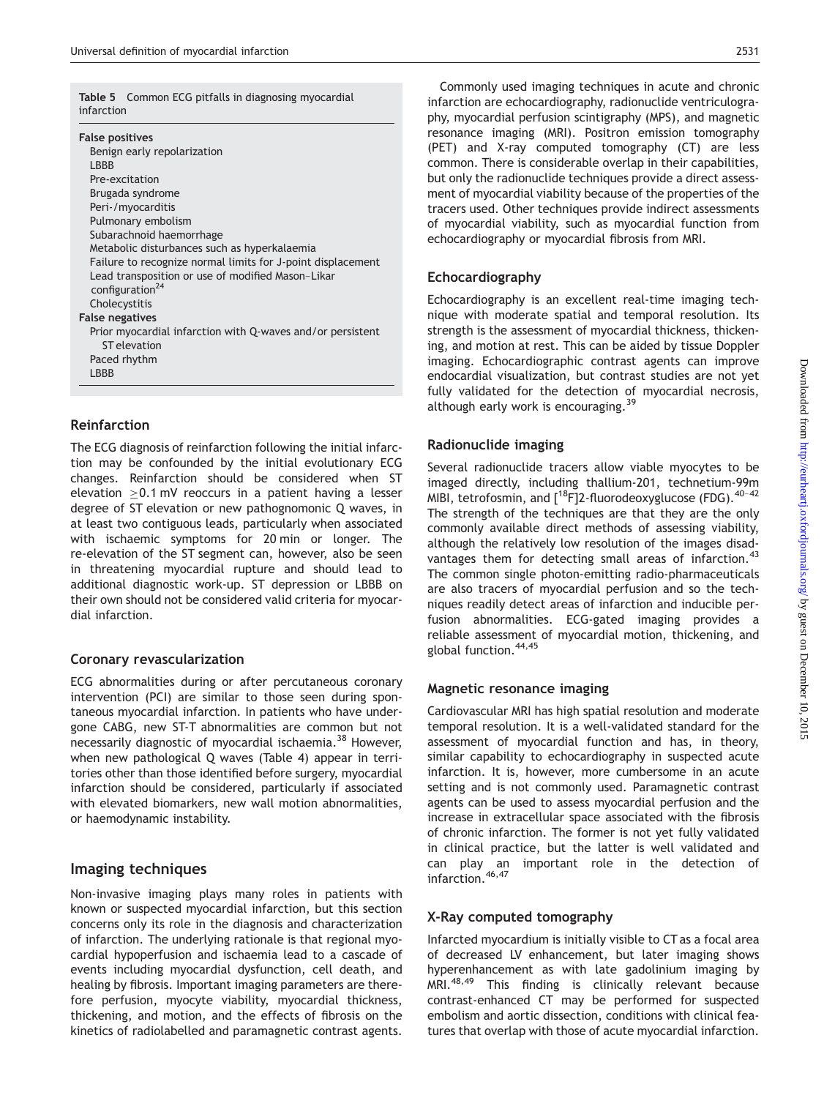Table 5 Common ECG pitfalls in diagnosing myocardial infarction

| <b>False positives</b><br>Benign early repolarization<br>I BBB<br>Pre-excitation<br>Brugada syndrome<br>Peri-/myocarditis<br>Pulmonary embolism |
|-------------------------------------------------------------------------------------------------------------------------------------------------|
| Subarachnoid haemorrhage                                                                                                                        |
| Metabolic disturbances such as hyperkalaemia                                                                                                    |
| Failure to recognize normal limits for J-point displacement                                                                                     |
| Lead transposition or use of modified Mason-Likar<br>configuration <sup>24</sup>                                                                |
| Cholecystitis                                                                                                                                   |
| <b>False negatives</b>                                                                                                                          |
| Prior myocardial infarction with Q-waves and/or persistent<br><b>ST</b> elevation                                                               |
| Paced rhythm                                                                                                                                    |
| LBBB                                                                                                                                            |

#### Reinfarction

The ECG diagnosis of reinfarction following the initial infarction may be confounded by the initial evolutionary ECG changes. Reinfarction should be considered when ST elevation  $>0.1$  mV reoccurs in a patient having a lesser degree of ST elevation or new pathognomonic Q waves, in at least two contiguous leads, particularly when associated with ischaemic symptoms for 20 min or longer. The re-elevation of the ST segment can, however, also be seen in threatening myocardial rupture and should lead to additional diagnostic work-up. ST depression or LBBB on their own should not be considered valid criteria for myocardial infarction.

#### Coronary revascularization

ECG abnormalities during or after percutaneous coronary intervention (PCI) are similar to those seen during spontaneous myocardial infarction. In patients who have undergone CABG, new ST-T abnormalities are common but not necessarily diagnostic of myocardial ischaemia.<sup>38</sup> However, when new pathological Q waves (Table 4) appear in territories other than those identified before surgery, myocardial infarction should be considered, particularly if associated with elevated biomarkers, new wall motion abnormalities, or haemodynamic instability.

#### Imaging techniques

Non-invasive imaging plays many roles in patients with known or suspected myocardial infarction, but this section concerns only its role in the diagnosis and characterization of infarction. The underlying rationale is that regional myocardial hypoperfusion and ischaemia lead to a cascade of events including myocardial dysfunction, cell death, and healing by fibrosis. Important imaging parameters are therefore perfusion, myocyte viability, myocardial thickness, thickening, and motion, and the effects of fibrosis on the kinetics of radiolabelled and paramagnetic contrast agents.

Commonly used imaging techniques in acute and chronic infarction are echocardiography, radionuclide ventriculography, myocardial perfusion scintigraphy (MPS), and magnetic resonance imaging (MRI). Positron emission tomography (PET) and X-ray computed tomography (CT) are less common. There is considerable overlap in their capabilities, but only the radionuclide techniques provide a direct assessment of myocardial viability because of the properties of the tracers used. Other techniques provide indirect assessments of myocardial viability, such as myocardial function from echocardiography or myocardial fibrosis from MRI.

#### Echocardiography

Echocardiography is an excellent real-time imaging technique with moderate spatial and temporal resolution. Its strength is the assessment of myocardial thickness, thickening, and motion at rest. This can be aided by tissue Doppler imaging. Echocardiographic contrast agents can improve endocardial visualization, but contrast studies are not yet fully validated for the detection of myocardial necrosis, although early work is encouraging.<sup>39</sup>

# Radionuclide imaging

Several radionuclide tracers allow viable myocytes to be imaged directly, including thallium-201, technetium-99m MIBI, tetrofosmin, and  $[^{18}F]2$ -fluorodeoxyglucose (FDG).  $^{40-42}$ The strength of the techniques are that they are the only commonly available direct methods of assessing viability, although the relatively low resolution of the images disadvantages them for detecting small areas of infarction.<sup>43</sup> The common single photon-emitting radio-pharmaceuticals are also tracers of myocardial perfusion and so the techniques readily detect areas of infarction and inducible perfusion abnormalities. ECG-gated imaging provides a reliable assessment of myocardial motion, thickening, and global function.44,45

### Magnetic resonance imaging

Cardiovascular MRI has high spatial resolution and moderate temporal resolution. It is a well-validated standard for the assessment of myocardial function and has, in theory, similar capability to echocardiography in suspected acute infarction. It is, however, more cumbersome in an acute setting and is not commonly used. Paramagnetic contrast agents can be used to assess myocardial perfusion and the increase in extracellular space associated with the fibrosis of chronic infarction. The former is not yet fully validated in clinical practice, but the latter is well validated and can play an important role in the detection of infarction.<sup>46,47</sup>

#### X-Ray computed tomography

Infarcted myocardium is initially visible to CT as a focal area of decreased LV enhancement, but later imaging shows hyperenhancement as with late gadolinium imaging by MRI.<sup>48,49</sup> This finding is clinically relevant because contrast-enhanced CT may be performed for suspected embolism and aortic dissection, conditions with clinical features that overlap with those of acute myocardial infarction.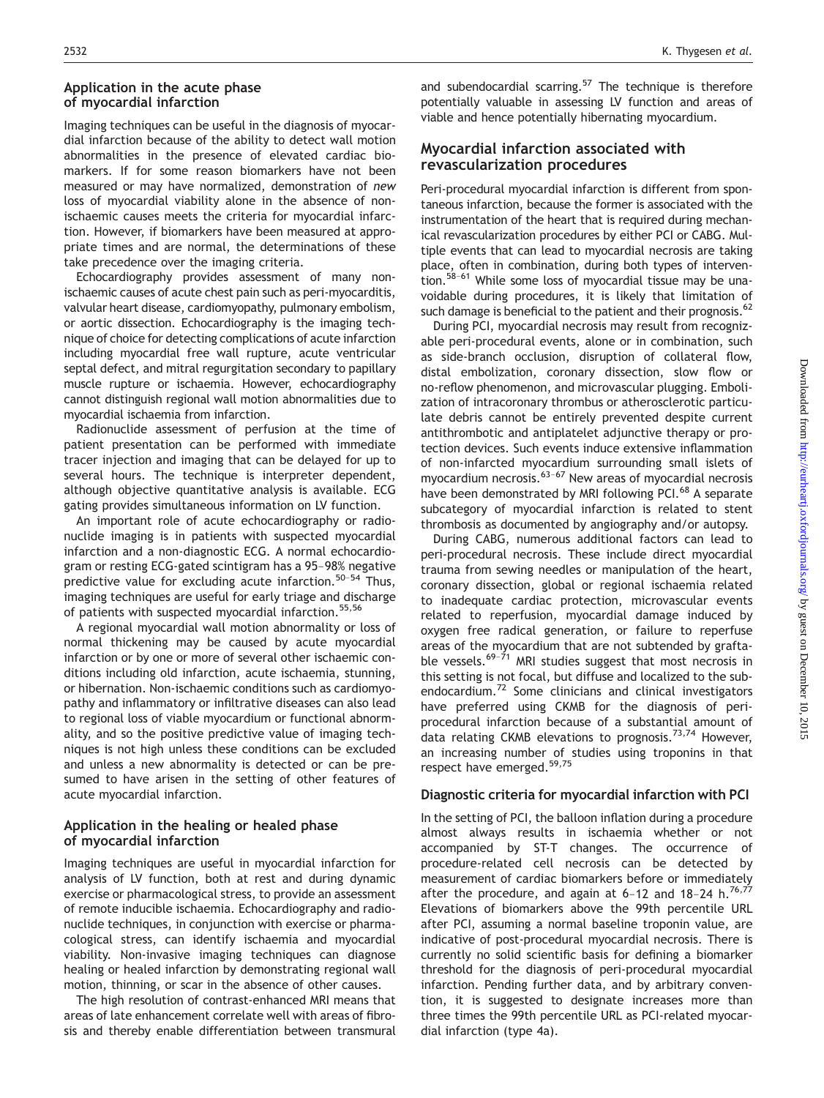#### Application in the acute phase of myocardial infarction

Imaging techniques can be useful in the diagnosis of myocardial infarction because of the ability to detect wall motion abnormalities in the presence of elevated cardiac biomarkers. If for some reason biomarkers have not been measured or may have normalized, demonstration of new loss of myocardial viability alone in the absence of nonischaemic causes meets the criteria for myocardial infarction. However, if biomarkers have been measured at appropriate times and are normal, the determinations of these take precedence over the imaging criteria.

Echocardiography provides assessment of many nonischaemic causes of acute chest pain such as peri-myocarditis, valvular heart disease, cardiomyopathy, pulmonary embolism, or aortic dissection. Echocardiography is the imaging technique of choice for detecting complications of acute infarction including myocardial free wall rupture, acute ventricular septal defect, and mitral regurgitation secondary to papillary muscle rupture or ischaemia. However, echocardiography cannot distinguish regional wall motion abnormalities due to myocardial ischaemia from infarction.

Radionuclide assessment of perfusion at the time of patient presentation can be performed with immediate tracer injection and imaging that can be delayed for up to several hours. The technique is interpreter dependent, although objective quantitative analysis is available. ECG gating provides simultaneous information on LV function.

An important role of acute echocardiography or radionuclide imaging is in patients with suspected myocardial infarction and a non-diagnostic ECG. A normal echocardiogram or resting ECG-gated scintigram has a 95–98% negative predictive value for excluding acute infarction.<sup>50-54</sup> Thus, imaging techniques are useful for early triage and discharge of patients with suspected myocardial infarction.<sup>55,56</sup>

A regional myocardial wall motion abnormality or loss of normal thickening may be caused by acute myocardial infarction or by one or more of several other ischaemic conditions including old infarction, acute ischaemia, stunning, or hibernation. Non-ischaemic conditions such as cardiomyopathy and inflammatory or infiltrative diseases can also lead to regional loss of viable myocardium or functional abnormality, and so the positive predictive value of imaging techniques is not high unless these conditions can be excluded and unless a new abnormality is detected or can be presumed to have arisen in the setting of other features of acute myocardial infarction.

#### Application in the healing or healed phase of myocardial infarction

Imaging techniques are useful in myocardial infarction for analysis of LV function, both at rest and during dynamic exercise or pharmacological stress, to provide an assessment of remote inducible ischaemia. Echocardiography and radionuclide techniques, in conjunction with exercise or pharmacological stress, can identify ischaemia and myocardial viability. Non-invasive imaging techniques can diagnose healing or healed infarction by demonstrating regional wall motion, thinning, or scar in the absence of other causes.

The high resolution of contrast-enhanced MRI means that areas of late enhancement correlate well with areas of fibrosis and thereby enable differentiation between transmural and subendocardial scarring. $57$  The technique is therefore potentially valuable in assessing LV function and areas of viable and hence potentially hibernating myocardium.

#### Myocardial infarction associated with revascularization procedures

Peri-procedural myocardial infarction is different from spontaneous infarction, because the former is associated with the instrumentation of the heart that is required during mechanical revascularization procedures by either PCI or CABG. Multiple events that can lead to myocardial necrosis are taking place, often in combination, during both types of intervention.<sup>58-61</sup> While some loss of myocardial tissue may be unavoidable during procedures, it is likely that limitation of such damage is beneficial to the patient and their prognosis.<sup>62</sup>

During PCI, myocardial necrosis may result from recognizable peri-procedural events, alone or in combination, such as side-branch occlusion, disruption of collateral flow, distal embolization, coronary dissection, slow flow or no-reflow phenomenon, and microvascular plugging. Embolization of intracoronary thrombus or atherosclerotic particulate debris cannot be entirely prevented despite current antithrombotic and antiplatelet adjunctive therapy or protection devices. Such events induce extensive inflammation of non-infarcted myocardium surrounding small islets of myocardium necrosis. $63-67$  New areas of myocardial necrosis have been demonstrated by MRI following PCI.<sup>68</sup> A separate subcategory of myocardial infarction is related to stent thrombosis as documented by angiography and/or autopsy.

During CABG, numerous additional factors can lead to peri-procedural necrosis. These include direct myocardial trauma from sewing needles or manipulation of the heart, coronary dissection, global or regional ischaemia related to inadequate cardiac protection, microvascular events related to reperfusion, myocardial damage induced by oxygen free radical generation, or failure to reperfuse areas of the myocardium that are not subtended by graftable vessels. $69-71$  MRI studies suggest that most necrosis in this setting is not focal, but diffuse and localized to the subendocardium.<sup>72</sup> Some clinicians and clinical investigators have preferred using CKMB for the diagnosis of periprocedural infarction because of a substantial amount of data relating CKMB elevations to prognosis.<sup>73,74</sup> However, an increasing number of studies using troponins in that respect have emerged.<sup>59,75</sup>

#### Diagnostic criteria for myocardial infarction with PCI

In the setting of PCI, the balloon inflation during a procedure almost always results in ischaemia whether or not accompanied by ST-T changes. The occurrence of procedure-related cell necrosis can be detected by measurement of cardiac biomarkers before or immediately after the procedure, and again at  $6-12$  and  $18-24$  h.<sup>76,77</sup> Elevations of biomarkers above the 99th percentile URL after PCI, assuming a normal baseline troponin value, are indicative of post-procedural myocardial necrosis. There is currently no solid scientific basis for defining a biomarker threshold for the diagnosis of peri-procedural myocardial infarction. Pending further data, and by arbitrary convention, it is suggested to designate increases more than three times the 99th percentile URL as PCI-related myocardial infarction (type 4a).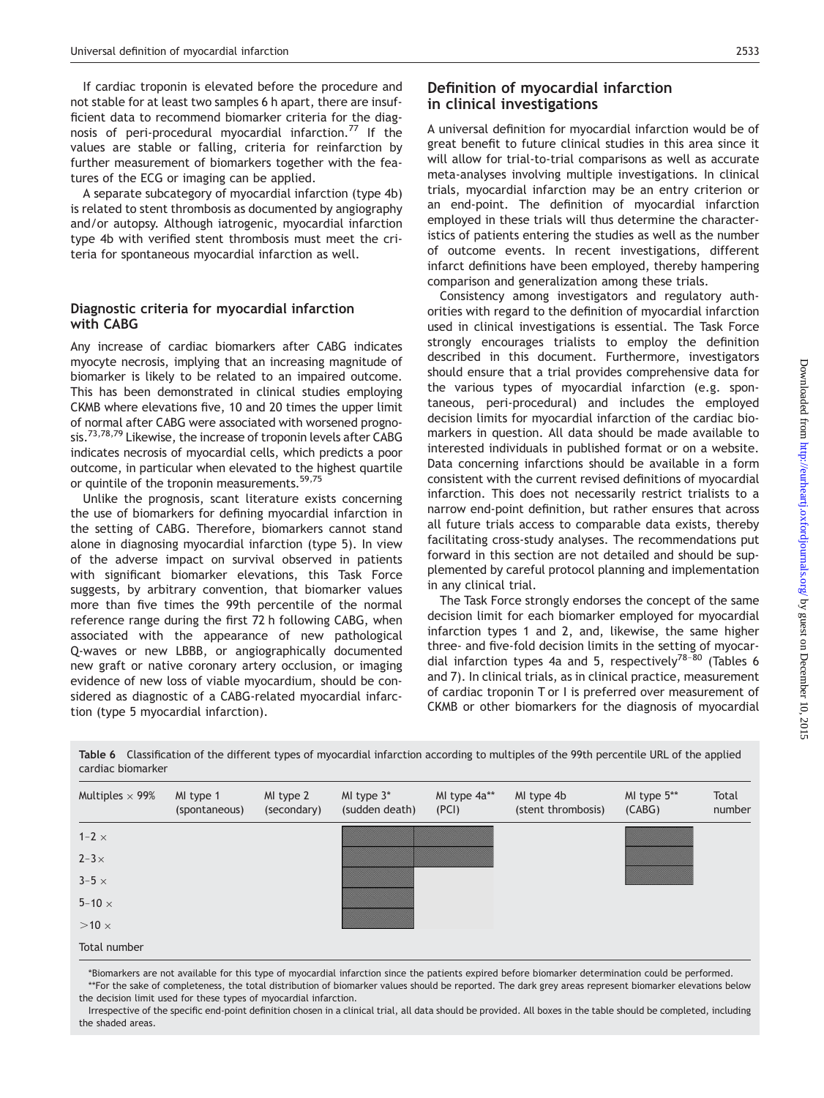If cardiac troponin is elevated before the procedure and not stable for at least two samples 6 h apart, there are insufficient data to recommend biomarker criteria for the diagnosis of peri-procedural myocardial infarction.<sup>77</sup> If the values are stable or falling, criteria for reinfarction by further measurement of biomarkers together with the features of the ECG or imaging can be applied.

A separate subcategory of myocardial infarction (type 4b) is related to stent thrombosis as documented by angiography and/or autopsy. Although iatrogenic, myocardial infarction type 4b with verified stent thrombosis must meet the criteria for spontaneous myocardial infarction as well.

#### Diagnostic criteria for myocardial infarction with CABG

Any increase of cardiac biomarkers after CABG indicates myocyte necrosis, implying that an increasing magnitude of biomarker is likely to be related to an impaired outcome. This has been demonstrated in clinical studies employing CKMB where elevations five, 10 and 20 times the upper limit of normal after CABG were associated with worsened prognosis.<sup>73,78,79</sup> Likewise, the increase of troponin levels after CABG indicates necrosis of myocardial cells, which predicts a poor outcome, in particular when elevated to the highest quartile or quintile of the troponin measurements.<sup>59,75</sup>

Unlike the prognosis, scant literature exists concerning the use of biomarkers for defining myocardial infarction in the setting of CABG. Therefore, biomarkers cannot stand alone in diagnosing myocardial infarction (type 5). In view of the adverse impact on survival observed in patients with significant biomarker elevations, this Task Force suggests, by arbitrary convention, that biomarker values more than five times the 99th percentile of the normal reference range during the first 72 h following CABG, when associated with the appearance of new pathological Q-waves or new LBBB, or angiographically documented new graft or native coronary artery occlusion, or imaging evidence of new loss of viable myocardium, should be considered as diagnostic of a CABG-related myocardial infarction (type 5 myocardial infarction).

# Definition of myocardial infarction in clinical investigations

A universal definition for myocardial infarction would be of great benefit to future clinical studies in this area since it will allow for trial-to-trial comparisons as well as accurate meta-analyses involving multiple investigations. In clinical trials, myocardial infarction may be an entry criterion or an end-point. The definition of myocardial infarction employed in these trials will thus determine the characteristics of patients entering the studies as well as the number of outcome events. In recent investigations, different infarct definitions have been employed, thereby hampering comparison and generalization among these trials.

Consistency among investigators and regulatory authorities with regard to the definition of myocardial infarction used in clinical investigations is essential. The Task Force strongly encourages trialists to employ the definition described in this document. Furthermore, investigators should ensure that a trial provides comprehensive data for the various types of myocardial infarction (e.g. spontaneous, peri-procedural) and includes the employed decision limits for myocardial infarction of the cardiac biomarkers in question. All data should be made available to interested individuals in published format or on a website. Data concerning infarctions should be available in a form consistent with the current revised definitions of myocardial infarction. This does not necessarily restrict trialists to a narrow end-point definition, but rather ensures that across all future trials access to comparable data exists, thereby facilitating cross-study analyses. The recommendations put forward in this section are not detailed and should be supplemented by careful protocol planning and implementation in any clinical trial.

The Task Force strongly endorses the concept of the same decision limit for each biomarker employed for myocardial infarction types 1 and 2, and, likewise, the same higher three- and five-fold decision limits in the setting of myocardial infarction types 4a and 5, respectively $78-80$  (Tables 6 and 7). In clinical trials, as in clinical practice, measurement of cardiac troponin T or I is preferred over measurement of CKMB or other biomarkers for the diagnosis of myocardial

| Multiples $\times$ 99% | MI type 1<br>(spontaneous) | MI type 2<br>(secondary) | MI type $3^*$<br>(sudden death) | MI type 4a**<br>(PCI) | MI type 4b<br>(stent thrombosis) | MI type $5**$<br>(CABG) | Total<br>number |
|------------------------|----------------------------|--------------------------|---------------------------------|-----------------------|----------------------------------|-------------------------|-----------------|
| $1-2 \times$           |                            |                          |                                 |                       |                                  |                         |                 |
| $2-3 \times$           |                            |                          |                                 |                       |                                  |                         |                 |
| $3-5 \times$           |                            |                          |                                 |                       |                                  |                         |                 |
| $5-10 \times$          |                            |                          |                                 |                       |                                  |                         |                 |
| $>10 \times$           |                            |                          |                                 |                       |                                  |                         |                 |
| Total number           |                            |                          |                                 |                       |                                  |                         |                 |

Table 6 Classification of the different types of myocardial infarction according to multiples of the 99th percentile URL of the applied cardiac biomarker

\*Biomarkers are not available for this type of myocardial infarction since the patients expired before biomarker determination could be performed. \*\*For the sake of completeness, the total distribution of biomarker values should be reported. The dark grey areas represent biomarker elevations below the decision limit used for these types of myocardial infarction.

Irrespective of the specific end-point definition chosen in a clinical trial, all data should be provided. All boxes in the table should be completed, including the shaded areas.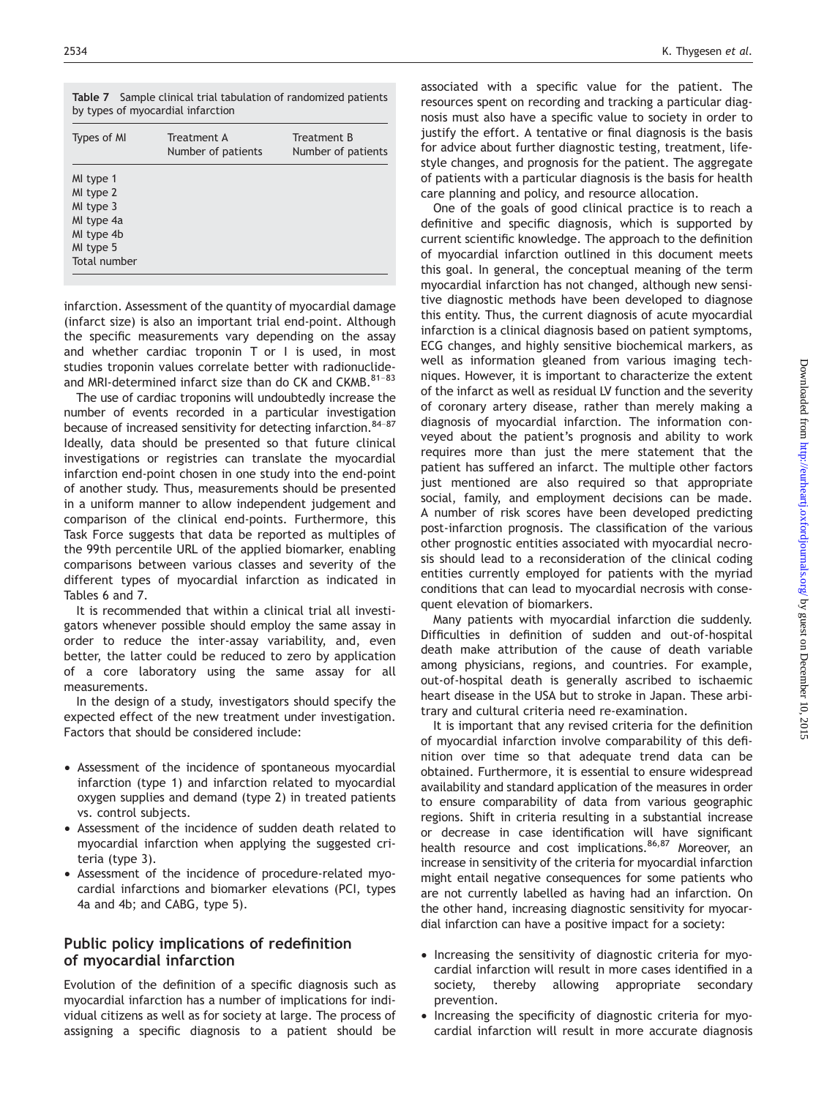| <b>Table 7</b> Sample clinical trial tabulation of randomized patients |
|------------------------------------------------------------------------|
| by types of myocardial infarction                                      |

| Types of MI                                                                                  | Treatment A<br>Number of patients | Treatment B<br>Number of patients |
|----------------------------------------------------------------------------------------------|-----------------------------------|-----------------------------------|
| MI type 1<br>MI type 2<br>MI type 3<br>MI type 4a<br>MI type 4b<br>MI type 5<br>Total number |                                   |                                   |

infarction. Assessment of the quantity of myocardial damage (infarct size) is also an important trial end-point. Although the specific measurements vary depending on the assay and whether cardiac troponin T or I is used, in most studies troponin values correlate better with radionuclideand MRI-determined infarct size than do CK and CKMB. 81-83

The use of cardiac troponins will undoubtedly increase the number of events recorded in a particular investigation because of increased sensitivity for detecting infarction. $84-87$ Ideally, data should be presented so that future clinical investigations or registries can translate the myocardial infarction end-point chosen in one study into the end-point of another study. Thus, measurements should be presented in a uniform manner to allow independent judgement and comparison of the clinical end-points. Furthermore, this Task Force suggests that data be reported as multiples of the 99th percentile URL of the applied biomarker, enabling comparisons between various classes and severity of the different types of myocardial infarction as indicated in Tables 6 and 7.

It is recommended that within a clinical trial all investigators whenever possible should employ the same assay in order to reduce the inter-assay variability, and, even better, the latter could be reduced to zero by application of a core laboratory using the same assay for all measurements.

In the design of a study, investigators should specify the expected effect of the new treatment under investigation. Factors that should be considered include:

- Assessment of the incidence of spontaneous myocardial infarction (type 1) and infarction related to myocardial oxygen supplies and demand (type 2) in treated patients vs. control subjects.
- † Assessment of the incidence of sudden death related to myocardial infarction when applying the suggested criteria (type 3).
- Assessment of the incidence of procedure-related myocardial infarctions and biomarker elevations (PCI, types 4a and 4b; and CABG, type 5).

### Public policy implications of redefinition of myocardial infarction

Evolution of the definition of a specific diagnosis such as myocardial infarction has a number of implications for individual citizens as well as for society at large. The process of assigning a specific diagnosis to a patient should be associated with a specific value for the patient. The resources spent on recording and tracking a particular diagnosis must also have a specific value to society in order to justify the effort. A tentative or final diagnosis is the basis for advice about further diagnostic testing, treatment, lifestyle changes, and prognosis for the patient. The aggregate of patients with a particular diagnosis is the basis for health care planning and policy, and resource allocation.

One of the goals of good clinical practice is to reach a definitive and specific diagnosis, which is supported by current scientific knowledge. The approach to the definition of myocardial infarction outlined in this document meets this goal. In general, the conceptual meaning of the term myocardial infarction has not changed, although new sensitive diagnostic methods have been developed to diagnose this entity. Thus, the current diagnosis of acute myocardial infarction is a clinical diagnosis based on patient symptoms, ECG changes, and highly sensitive biochemical markers, as well as information gleaned from various imaging techniques. However, it is important to characterize the extent of the infarct as well as residual LV function and the severity of coronary artery disease, rather than merely making a diagnosis of myocardial infarction. The information conveyed about the patient's prognosis and ability to work requires more than just the mere statement that the patient has suffered an infarct. The multiple other factors just mentioned are also required so that appropriate social, family, and employment decisions can be made. A number of risk scores have been developed predicting post-infarction prognosis. The classification of the various other prognostic entities associated with myocardial necrosis should lead to a reconsideration of the clinical coding entities currently employed for patients with the myriad conditions that can lead to myocardial necrosis with consequent elevation of biomarkers.

Many patients with myocardial infarction die suddenly. Difficulties in definition of sudden and out-of-hospital death make attribution of the cause of death variable among physicians, regions, and countries. For example, out-of-hospital death is generally ascribed to ischaemic heart disease in the USA but to stroke in Japan. These arbitrary and cultural criteria need re-examination.

It is important that any revised criteria for the definition of myocardial infarction involve comparability of this definition over time so that adequate trend data can be obtained. Furthermore, it is essential to ensure widespread availability and standard application of the measures in order to ensure comparability of data from various geographic regions. Shift in criteria resulting in a substantial increase or decrease in case identification will have significant health resource and cost implications.<sup>86,87</sup> Moreover, an increase in sensitivity of the criteria for myocardial infarction might entail negative consequences for some patients who are not currently labelled as having had an infarction. On the other hand, increasing diagnostic sensitivity for myocardial infarction can have a positive impact for a society:

- Increasing the sensitivity of diagnostic criteria for myocardial infarction will result in more cases identified in a society, thereby allowing appropriate secondary prevention.
- Increasing the specificity of diagnostic criteria for myocardial infarction will result in more accurate diagnosis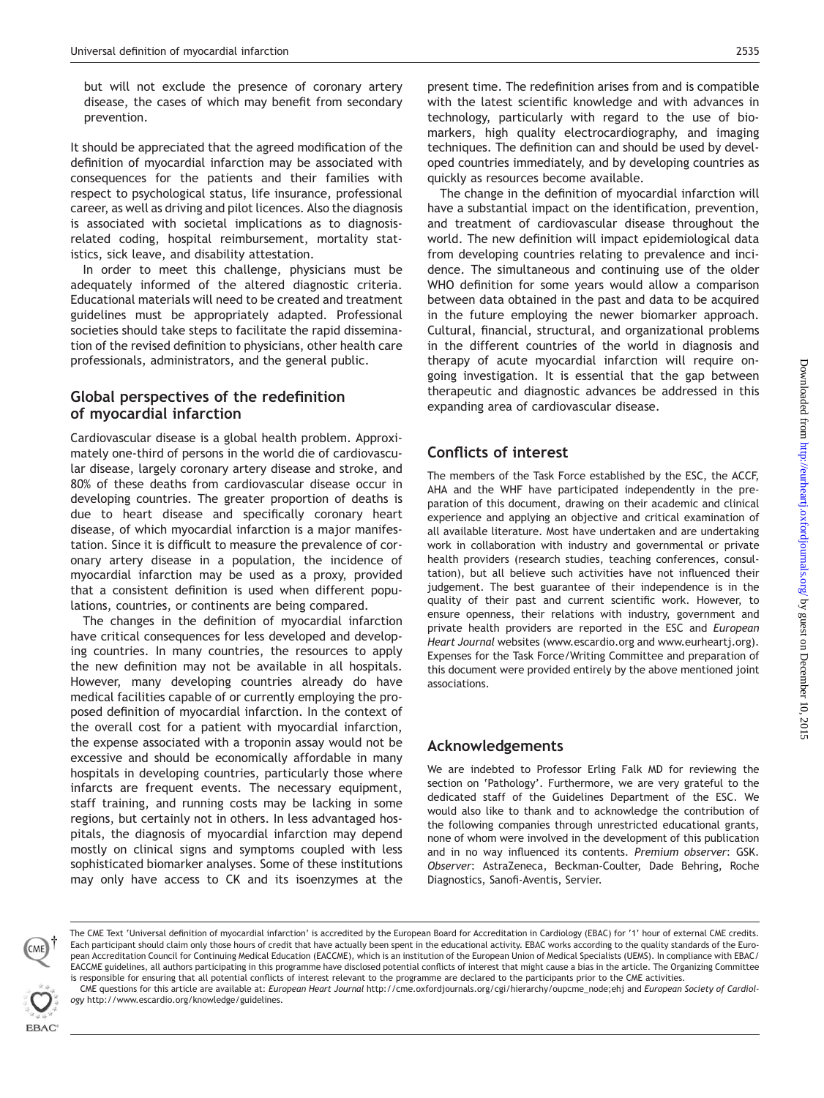but will not exclude the presence of coronary artery disease, the cases of which may benefit from secondary prevention.

It should be appreciated that the agreed modification of the definition of myocardial infarction may be associated with consequences for the patients and their families with respect to psychological status, life insurance, professional career, as well as driving and pilot licences. Also the diagnosis is associated with societal implications as to diagnosisrelated coding, hospital reimbursement, mortality statistics, sick leave, and disability attestation.

In order to meet this challenge, physicians must be adequately informed of the altered diagnostic criteria. Educational materials will need to be created and treatment guidelines must be appropriately adapted. Professional societies should take steps to facilitate the rapid dissemination of the revised definition to physicians, other health care professionals, administrators, and the general public.

#### Global perspectives of the redefinition of myocardial infarction

Cardiovascular disease is a global health problem. Approximately one-third of persons in the world die of cardiovascular disease, largely coronary artery disease and stroke, and 80% of these deaths from cardiovascular disease occur in developing countries. The greater proportion of deaths is due to heart disease and specifically coronary heart disease, of which myocardial infarction is a major manifestation. Since it is difficult to measure the prevalence of coronary artery disease in a population, the incidence of myocardial infarction may be used as a proxy, provided that a consistent definition is used when different populations, countries, or continents are being compared.

The changes in the definition of myocardial infarction have critical consequences for less developed and developing countries. In many countries, the resources to apply the new definition may not be available in all hospitals. However, many developing countries already do have medical facilities capable of or currently employing the proposed definition of myocardial infarction. In the context of the overall cost for a patient with myocardial infarction, the expense associated with a troponin assay would not be excessive and should be economically affordable in many hospitals in developing countries, particularly those where infarcts are frequent events. The necessary equipment, staff training, and running costs may be lacking in some regions, but certainly not in others. In less advantaged hospitals, the diagnosis of myocardial infarction may depend mostly on clinical signs and symptoms coupled with less sophisticated biomarker analyses. Some of these institutions may only have access to CK and its isoenzymes at the

present time. The redefinition arises from and is compatible with the latest scientific knowledge and with advances in technology, particularly with regard to the use of biomarkers, high quality electrocardiography, and imaging techniques. The definition can and should be used by developed countries immediately, and by developing countries as quickly as resources become available.

The change in the definition of myocardial infarction will have a substantial impact on the identification, prevention, and treatment of cardiovascular disease throughout the world. The new definition will impact epidemiological data from developing countries relating to prevalence and incidence. The simultaneous and continuing use of the older WHO definition for some years would allow a comparison between data obtained in the past and data to be acquired in the future employing the newer biomarker approach. Cultural, financial, structural, and organizational problems in the different countries of the world in diagnosis and therapy of acute myocardial infarction will require ongoing investigation. It is essential that the gap between therapeutic and diagnostic advances be addressed in this expanding area of cardiovascular disease.

# Conflicts of interest

The members of the Task Force established by the ESC, the ACCF, AHA and the WHF have participated independently in the preparation of this document, drawing on their academic and clinical experience and applying an objective and critical examination of all available literature. Most have undertaken and are undertaking work in collaboration with industry and governmental or private health providers (research studies, teaching conferences, consultation), but all believe such activities have not influenced their judgement. The best guarantee of their independence is in the quality of their past and current scientific work. However, to ensure openness, their relations with industry, government and private health providers are reported in the ESC and European Heart Journal websites (www.escardio.org and www.eurheartj.org). Expenses for the Task Force/Writing Committee and preparation of this document were provided entirely by the above mentioned joint associations.

#### Acknowledgements

We are indebted to Professor Erling Falk MD for reviewing the section on 'Pathology'. Furthermore, we are very grateful to the dedicated staff of the Guidelines Department of the ESC. We would also like to thank and to acknowledge the contribution of the following companies through unrestricted educational grants, none of whom were involved in the development of this publication and in no way influenced its contents. Premium observer: GSK. Observer: AstraZeneca, Beckman-Coulter, Dade Behring, Roche Diagnostics, Sanofi-Aventis, Servier.



The CME Text 'Universal definition of myocardial infarction' is accredited by the European Board for Accreditation in Cardiology (EBAC) for '1' hour of external CME credits. Each participant should claim only those hours of credit that have actually been spent in the educational activity. EBAC works according to the quality standards of the European Accreditation Council for Continuing Medical Education (EACCME), which is an institution of the European Union of Medical Specialists (UEMS). In compliance with EBAC/ EACCME guidelines, all authors participating in this programme have disclosed potential conflicts of interest that might cause a bias in the article. The Organizing Committee is responsible for ensuring that all potential conflicts of interest relevant to the programme are declared to the participants prior to the CME activities.

CME questions for this article are available at: European Heart Journal http://cme.oxfordjournals.org/cgi/hierarchy/oupcme\_node;ehj and European Society of Cardiology http://www.escardio.org/knowledge/guidelines.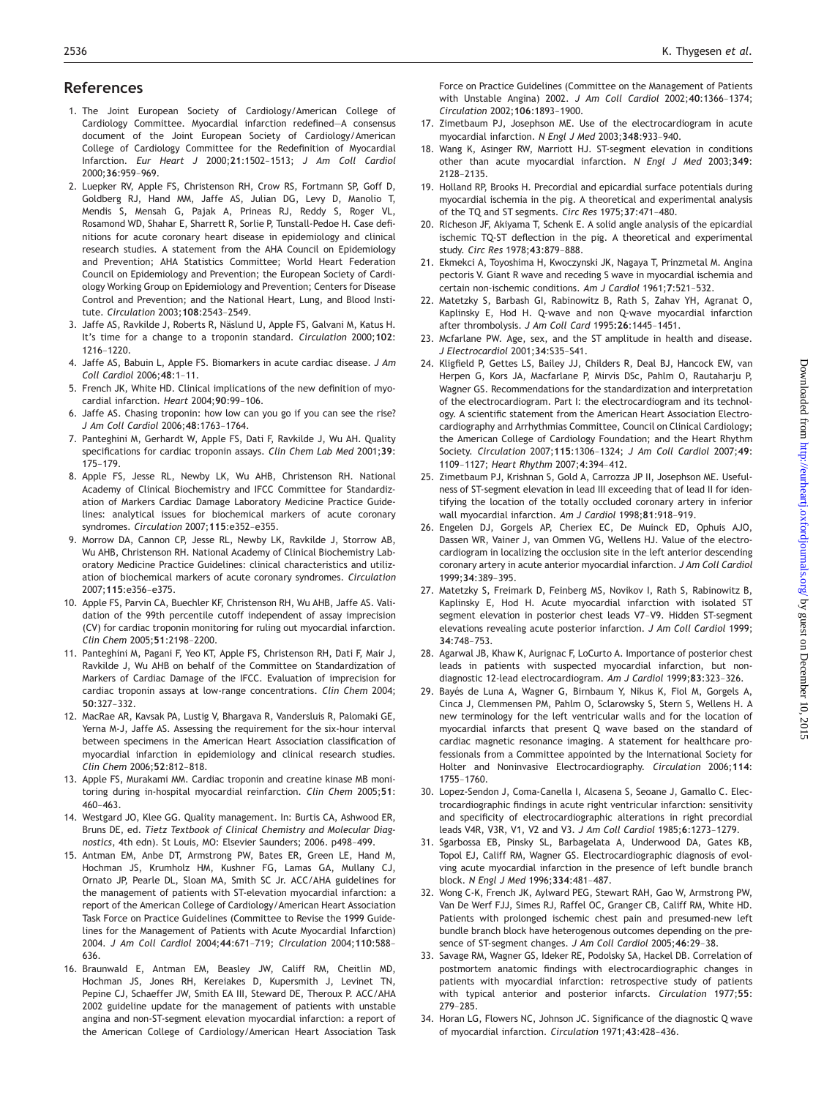#### References

- 1. The Joint European Society of Cardiology/American College of Cardiology Committee. Myocardial infarction redefined—A consensus document of the Joint European Society of Cardiology/American College of Cardiology Committee for the Redefinition of Myocardial Infarction. Eur Heart J 2000;<sup>21</sup>:1502–1513; J Am Coll Cardiol 2000;<sup>36</sup>:959–969.
- 2. Luepker RV, Apple FS, Christenson RH, Crow RS, Fortmann SP, Goff D, Goldberg RJ, Hand MM, Jaffe AS, Julian DG, Levy D, Manolio T, Mendis S, Mensah G, Pajak A, Prineas RJ, Reddy S, Roger VL, Rosamond WD, Shahar E, Sharrett R, Sorlie P, Tunstall-Pedoe H. Case definitions for acute coronary heart disease in epidemiology and clinical research studies. A statement from the AHA Council on Epidemiology and Prevention; AHA Statistics Committee; World Heart Federation Council on Epidemiology and Prevention; the European Society of Cardiology Working Group on Epidemiology and Prevention; Centers for Disease Control and Prevention; and the National Heart, Lung, and Blood Institute. Circulation 2003;<sup>108</sup>:2543–2549.
- 3. Jaffe AS, Ravkilde J, Roberts R, Näslund U, Apple FS, Galvani M, Katus H. It's time for a change to a troponin standard. Circulation 2000;102: 1216–1220.
- 4. Jaffe AS, Babuin L, Apple FS. Biomarkers in acute cardiac disease. J Am Coll Cardiol 2006;<sup>48</sup>:1–11.
- 5. French JK, White HD. Clinical implications of the new definition of myocardial infarction. Heart 2004;<sup>90</sup>:99–106.
- 6. Jaffe AS. Chasing troponin: how low can you go if you can see the rise? J Am Coll Cardiol 2006;<sup>48</sup>:1763–1764.
- 7. Panteghini M, Gerhardt W, Apple FS, Dati F, Ravkilde J, Wu AH. Quality specifications for cardiac troponin assays. Clin Chem Lab Med 2001;39: 175–179.
- 8. Apple FS, Jesse RL, Newby LK, Wu AHB, Christenson RH. National Academy of Clinical Biochemistry and IFCC Committee for Standardization of Markers Cardiac Damage Laboratory Medicine Practice Guidelines: analytical issues for biochemical markers of acute coronary syndromes. Circulation 2007;<sup>115</sup>:e352–e355.
- 9. Morrow DA, Cannon CP, Jesse RL, Newby LK, Ravkilde J, Storrow AB, Wu AHB, Christenson RH. National Academy of Clinical Biochemistry Laboratory Medicine Practice Guidelines: clinical characteristics and utilization of biochemical markers of acute coronary syndromes. Circulation 2007;<sup>115</sup>:e356–e375.
- 10. Apple FS, Parvin CA, Buechler KF, Christenson RH, Wu AHB, Jaffe AS. Validation of the 99th percentile cutoff independent of assay imprecision (CV) for cardiac troponin monitoring for ruling out myocardial infarction. Clin Chem 2005;<sup>51</sup>:2198–2200.
- 11. Panteghini M, Pagani F, Yeo KT, Apple FS, Christenson RH, Dati F, Mair J, Ravkilde J, Wu AHB on behalf of the Committee on Standardization of Markers of Cardiac Damage of the IFCC. Evaluation of imprecision for cardiac troponin assays at low-range concentrations. Clin Chem 2004; <sup>50</sup>:327–332.
- 12. MacRae AR, Kavsak PA, Lustig V, Bhargava R, Vandersluis R, Palomaki GE, Yerna M-J, Jaffe AS. Assessing the requirement for the six-hour interval between specimens in the American Heart Association classification of myocardial infarction in epidemiology and clinical research studies. Clin Chem 2006;<sup>52</sup>:812–818.
- 13. Apple FS, Murakami MM. Cardiac troponin and creatine kinase MB monitoring during in-hospital myocardial reinfarction. Clin Chem 2005;51: 460–463.
- 14. Westgard JO, Klee GG. Quality management. In: Burtis CA, Ashwood ER, Bruns DE, ed. Tietz Textbook of Clinical Chemistry and Molecular Diagnostics, 4th edn). St Louis, MO: Elsevier Saunders; 2006. p498–499.
- 15. Antman EM, Anbe DT, Armstrong PW, Bates ER, Green LE, Hand M, Hochman JS, Krumholz HM, Kushner FG, Lamas GA, Mullany CJ, Ornato JP, Pearle DL, Sloan MA, Smith SC Jr. ACC/AHA guidelines for the management of patients with ST-elevation myocardial infarction: a report of the American College of Cardiology/American Heart Association Task Force on Practice Guidelines (Committee to Revise the 1999 Guidelines for the Management of Patients with Acute Myocardial Infarction) 2004. J Am Coll Cardiol 2004;<sup>44</sup>:671–719; Circulation 2004;<sup>110</sup>:588– 636.
- 16. Braunwald E, Antman EM, Beasley JW, Califf RM, Cheitlin MD, Hochman JS, Jones RH, Kereiakes D, Kupersmith J, Levinet TN, Pepine CJ, Schaeffer JW, Smith EA III, Steward DE, Theroux P. ACC/AHA 2002 guideline update for the management of patients with unstable angina and non-ST-segment elevation myocardial infarction: a report of the American College of Cardiology/American Heart Association Task

Force on Practice Guidelines (Committee on the Management of Patients with Unstable Angina) 2002. J Am Coll Cardiol 2002;<sup>40</sup>:1366–1374; Circulation 2002;<sup>106</sup>:1893–1900.

- 17. Zimetbaum PJ, Josephson ME. Use of the electrocardiogram in acute myocardial infarction. N Engl J Med 2003;<sup>348</sup>:933–940.
- 18. Wang K, Asinger RW, Marriott HJ. ST-segment elevation in conditions other than acute myocardial infarction. N Engl J Med 2003;349: 2128–2135.
- 19. Holland RP, Brooks H. Precordial and epicardial surface potentials during myocardial ischemia in the pig. A theoretical and experimental analysis of the TQ and ST segments. Circ Res 1975;<sup>37</sup>:471–480.
- 20. Richeson JF, Akiyama T, Schenk E. A solid angle analysis of the epicardial ischemic TQ-ST deflection in the pig. A theoretical and experimental study. Circ Res 1978;<sup>43</sup>:879–888.
- 21. Ekmekci A, Toyoshima H, Kwoczynski JK, Nagaya T, Prinzmetal M. Angina pectoris V. Giant R wave and receding S wave in myocardial ischemia and certain non-ischemic conditions. Am J Cardiol 1961;<sup>7</sup>:521–532.
- 22. Matetzky S, Barbash GI, Rabinowitz B, Rath S, Zahav YH, Agranat O, Kaplinsky E, Hod H. Q-wave and non Q-wave myocardial infarction after thrombolysis. J Am Coll Card <sup>1995</sup>:26:1445–1451.
- 23. Mcfarlane PW. Age, sex, and the ST amplitude in health and disease. J Electrocardiol 2001;<sup>34</sup>:S35–S41.
- 24. Kligfield P, Gettes LS, Bailey JJ, Childers R, Deal BJ, Hancock EW, van Herpen G, Kors JA, Macfarlane P, Mirvis DSc, Pahlm O, Rautaharju P, Wagner GS. Recommendations for the standardization and interpretation of the electrocardiogram. Part I: the electrocardiogram and its technology. A scientific statement from the American Heart Association Electrocardiography and Arrhythmias Committee, Council on Clinical Cardiology; the American College of Cardiology Foundation; and the Heart Rhythm Society. Circulation 2007;<sup>115</sup>:1306–1324; J Am Coll Cardiol 2007;49: 1109–1127; Heart Rhythm 2007;<sup>4</sup>:394–412.
- 25. Zimetbaum PJ, Krishnan S, Gold A, Carrozza JP II, Josephson ME. Usefulness of ST-segment elevation in lead III exceeding that of lead II for identifying the location of the totally occluded coronary artery in inferior wall myocardial infarction. Am J Cardiol 1998;<sup>81</sup>:918–919.
- 26. Engelen DJ, Gorgels AP, Cheriex EC, De Muinck ED, Ophuis AJO, Dassen WR, Vainer J, van Ommen VG, Wellens HJ. Value of the electrocardiogram in localizing the occlusion site in the left anterior descending coronary artery in acute anterior myocardial infarction. J Am Coll Cardiol 1999;<sup>34</sup>:389–395.
- 27. Matetzky S, Freimark D, Feinberg MS, Novikov I, Rath S, Rabinowitz B, Kaplinsky E, Hod H. Acute myocardial infarction with isolated ST segment elevation in posterior chest leads V7–V9. Hidden ST-segment elevations revealing acute posterior infarction. J Am Coll Cardiol 1999; <sup>34</sup>:748–753.
- 28. Agarwal JB, Khaw K, Aurignac F, LoCurto A. Importance of posterior chest leads in patients with suspected myocardial infarction, but nondiagnostic 12-lead electrocardiogram. Am J Cardiol 1999;<sup>83</sup>:323–326.
- 29. Bayés de Luna A, Wagner G, Birnbaum Y, Nikus K, Fiol M, Gorgels A, Cinca J, Clemmensen PM, Pahlm O, Sclarowsky S, Stern S, Wellens H. A new terminology for the left ventricular walls and for the location of myocardial infarcts that present Q wave based on the standard of cardiac magnetic resonance imaging. A statement for healthcare professionals from a Committee appointed by the International Society for Holter and Noninvasive Electrocardiography. Circulation 2006;114: 1755–1760.
- 30. Lopez-Sendon J, Coma-Canella I, Alcasena S, Seoane J, Gamallo C. Electrocardiographic findings in acute right ventricular infarction: sensitivity and specificity of electrocardiographic alterations in right precordial leads V4R, V3R, V1, V2 and V3. J Am Coll Cardiol 1985;<sup>6</sup>:1273–1279.
- 31. Sgarbossa EB, Pinsky SL, Barbagelata A, Underwood DA, Gates KB, Topol EJ, Califf RM, Wagner GS. Electrocardiographic diagnosis of evolving acute myocardial infarction in the presence of left bundle branch block. N Engl J Med 1996;<sup>334</sup>:481–487.
- 32. Wong C-K, French JK, Aylward PEG, Stewart RAH, Gao W, Armstrong PW, Van De Werf FJJ, Simes RJ, Raffel OC, Granger CB, Califf RM, White HD. Patients with prolonged ischemic chest pain and presumed-new left bundle branch block have heterogenous outcomes depending on the presence of ST-segment changes. J Am Coll Cardiol 2005;<sup>46</sup>:29–38.
- 33. Savage RM, Wagner GS, Ideker RE, Podolsky SA, Hackel DB. Correlation of postmortem anatomic findings with electrocardiographic changes in patients with myocardial infarction: retrospective study of patients with typical anterior and posterior infarcts. Circulation 1977;55: 279–285.
- 34. Horan LG, Flowers NC, Johnson JC. Significance of the diagnostic Q wave of myocardial infarction. Circulation 1971;<sup>43</sup>:428–436.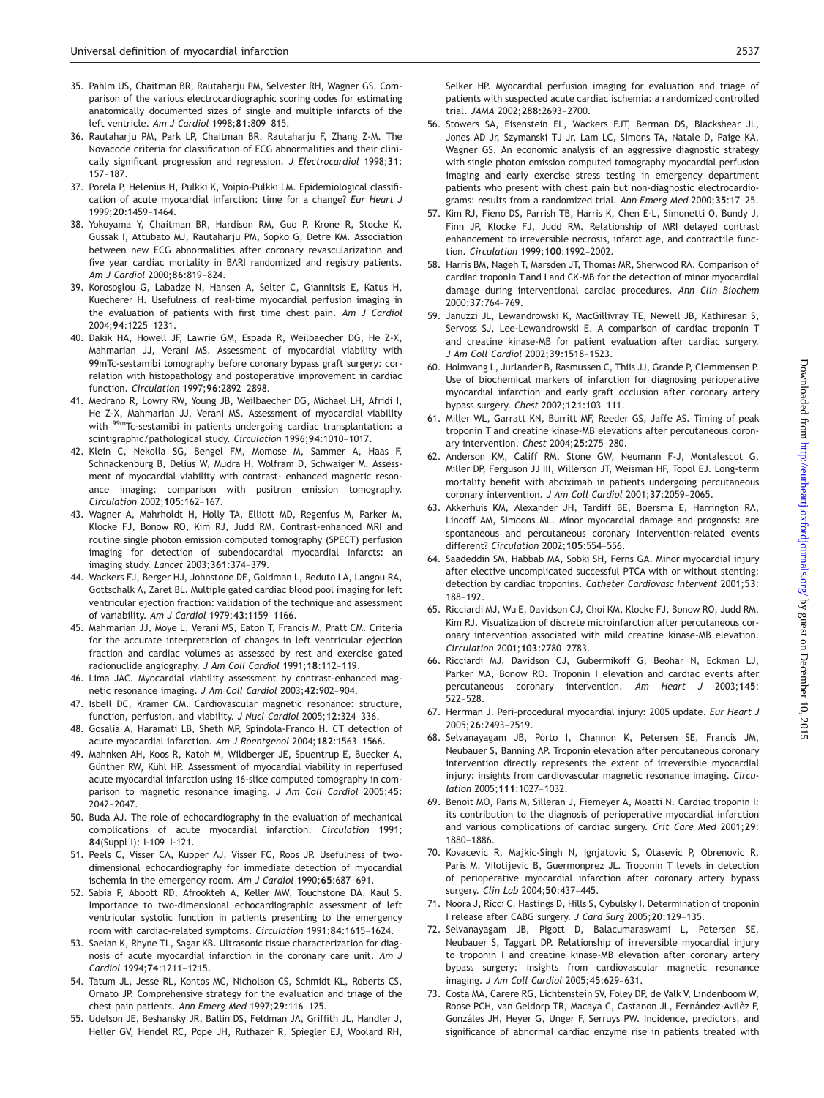- 35. Pahlm US, Chaitman BR, Rautaharju PM, Selvester RH, Wagner GS. Comparison of the various electrocardiographic scoring codes for estimating anatomically documented sizes of single and multiple infarcts of the left ventricle. Am J Cardiol 1998;<sup>81</sup>:809–815.
- 36. Rautaharju PM, Park LP, Chaitman BR, Rautaharju F, Zhang Z-M. The Novacode criteria for classification of ECG abnormalities and their clinically significant progression and regression. J Electrocardiol 1998;31: 157–187.
- 37. Porela P, Helenius H, Pulkki K, Voipio-Pulkki LM. Epidemiological classification of acute myocardial infarction: time for a change? Eur Heart J 1999;<sup>20</sup>:1459–1464.
- 38. Yokoyama Y, Chaitman BR, Hardison RM, Guo P, Krone R, Stocke K, Gussak I, Attubato MJ, Rautaharju PM, Sopko G, Detre KM. Association between new ECG abnormalities after coronary revascularization and five year cardiac mortality in BARI randomized and registry patients. Am J Cardiol 2000;<sup>86</sup>:819–824.
- 39. Korosoglou G, Labadze N, Hansen A, Selter C, Giannitsis E, Katus H, Kuecherer H. Usefulness of real-time myocardial perfusion imaging in the evaluation of patients with first time chest pain. Am J Cardiol 2004;<sup>94</sup>:1225–1231.
- 40. Dakik HA, Howell JF, Lawrie GM, Espada R, Weilbaecher DG, He Z-X, Mahmarian JJ, Verani MS. Assessment of myocardial viability with 99mTc-sestamibi tomography before coronary bypass graft surgery: correlation with histopathology and postoperative improvement in cardiac function. Circulation 1997;<sup>96</sup>:2892–2898.
- 41. Medrano R, Lowry RW, Young JB, Weilbaecher DG, Michael LH, Afridi I, He Z-X, Mahmarian JJ, Verani MS. Assessment of myocardial viability with <sup>99m</sup>Tc-sestamibi in patients undergoing cardiac transplantation: a scintigraphic/pathological study. Circulation 1996;<sup>94</sup>:1010–1017.
- 42. Klein C, Nekolla SG, Bengel FM, Momose M, Sammer A, Haas F, Schnackenburg B, Delius W, Mudra H, Wolfram D, Schwaiger M. Assessment of myocardial viability with contrast- enhanced magnetic resonance imaging: comparison with positron emission tomography. Circulation 2002;<sup>105</sup>:162–167.
- 43. Wagner A, Mahrholdt H, Holly TA, Elliott MD, Regenfus M, Parker M, Klocke FJ, Bonow RO, Kim RJ, Judd RM. Contrast-enhanced MRI and routine single photon emission computed tomography (SPECT) perfusion imaging for detection of subendocardial myocardial infarcts: an imaging study. Lancet 2003;<sup>361</sup>:374–379.
- 44. Wackers FJ, Berger HJ, Johnstone DE, Goldman L, Reduto LA, Langou RA, Gottschalk A, Zaret BL. Multiple gated cardiac blood pool imaging for left ventricular ejection fraction: validation of the technique and assessment of variability. Am J Cardiol 1979;<sup>43</sup>:1159–1166.
- 45. Mahmarian JJ, Moye L, Verani MS, Eaton T, Francis M, Pratt CM. Criteria for the accurate interpretation of changes in left ventricular ejection fraction and cardiac volumes as assessed by rest and exercise gated radionuclide angiography. J Am Coll Cardiol 1991;<sup>18</sup>:112–119.
- 46. Lima JAC. Myocardial viability assessment by contrast-enhanced magnetic resonance imaging. J Am Coll Cardiol 2003;<sup>42</sup>:902–904.
- 47. Isbell DC, Kramer CM. Cardiovascular magnetic resonance: structure, function, perfusion, and viability. J Nucl Cardiol 2005;<sup>12</sup>:324–336.
- 48. Gosalia A, Haramati LB, Sheth MP, Spindola-Franco H. CT detection of acute myocardial infarction. Am J Roentgenol 2004;<sup>182</sup>:1563–1566.
- 49. Mahnken AH, Koos R, Katoh M, Wildberger JE, Spuentrup E, Buecker A, Günther RW, Kühl HP. Assessment of myocardial viability in reperfused acute myocardial infarction using 16-slice computed tomography in comparison to magnetic resonance imaging. J Am Coll Cardiol 2005;45: 2042–2047.
- 50. Buda AJ. The role of echocardiography in the evaluation of mechanical complications of acute myocardial infarction. Circulation 1991; <sup>84</sup>(Suppl I): I-109–I-121.
- 51. Peels C, Visser CA, Kupper AJ, Visser FC, Roos JP. Usefulness of twodimensional echocardiography for immediate detection of myocardial ischemia in the emergency room. Am J Cardiol 1990;<sup>65</sup>:687–691.
- 52. Sabia P, Abbott RD, Afrookteh A, Keller MW, Touchstone DA, Kaul S. Importance to two-dimensional echocardiographic assessment of left ventricular systolic function in patients presenting to the emergency room with cardiac-related symptoms. Circulation 1991;<sup>84</sup>:1615–1624.
- 53. Saeian K, Rhyne TL, Sagar KB. Ultrasonic tissue characterization for diagnosis of acute myocardial infarction in the coronary care unit. Am J Cardiol 1994;<sup>74</sup>:1211–1215.
- 54. Tatum JL, Jesse RL, Kontos MC, Nicholson CS, Schmidt KL, Roberts CS, Ornato JP. Comprehensive strategy for the evaluation and triage of the chest pain patients. Ann Emerg Med 1997;<sup>29</sup>:116–125.
- 55. Udelson JE, Beshansky JR, Ballin DS, Feldman JA, Griffith JL, Handler J, Heller GV, Hendel RC, Pope JH, Ruthazer R, Spiegler EJ, Woolard RH,

Selker HP. Myocardial perfusion imaging for evaluation and triage of patients with suspected acute cardiac ischemia: a randomized controlled trial. JAMA 2002;<sup>288</sup>:2693–2700.

- 56. Stowers SA, Eisenstein EL, Wackers FJT, Berman DS, Blackshear JL, Jones AD Jr, Szymanski TJ Jr, Lam LC, Simons TA, Natale D, Paige KA, Wagner GS. An economic analysis of an aggressive diagnostic strategy with single photon emission computed tomography myocardial perfusion imaging and early exercise stress testing in emergency department patients who present with chest pain but non-diagnostic electrocardiograms: results from a randomized trial. Ann Emerg Med 2000;<sup>35</sup>:17–25.
- 57. Kim RJ, Fieno DS, Parrish TB, Harris K, Chen E-L, Simonetti O, Bundy J, Finn JP, Klocke FJ, Judd RM. Relationship of MRI delayed contrast enhancement to irreversible necrosis, infarct age, and contractile function. Circulation 1999;<sup>100</sup>:1992–2002.
- 58. Harris BM, Nageh T, Marsden JT, Thomas MR, Sherwood RA. Comparison of cardiac troponin T and I and CK-MB for the detection of minor myocardial damage during interventional cardiac procedures. Ann Clin Biochem 2000;<sup>37</sup>:764–769.
- 59. Januzzi JL, Lewandrowski K, MacGillivray TE, Newell JB, Kathiresan S, Servoss SJ, Lee-Lewandrowski E. A comparison of cardiac troponin T and creatine kinase-MB for patient evaluation after cardiac surgery. J Am Coll Cardiol 2002;<sup>39</sup>:1518–1523.
- 60. Holmvang L, Jurlander B, Rasmussen C, Thiis JJ, Grande P, Clemmensen P. Use of biochemical markers of infarction for diagnosing perioperative myocardial infarction and early graft occlusion after coronary artery bypass surgery. Chest 2002;<sup>121</sup>:103–111.
- 61. Miller WL, Garratt KN, Burritt MF, Reeder GS, Jaffe AS. Timing of peak troponin T and creatine kinase-MB elevations after percutaneous coronary intervention. Chest 2004;<sup>25</sup>:275–280.
- 62. Anderson KM, Califf RM, Stone GW, Neumann F-J, Montalescot G, Miller DP, Ferguson JJ III, Willerson JT, Weisman HF, Topol EJ. Long-term mortality benefit with abciximab in patients undergoing percutaneous coronary intervention. J Am Coll Cardiol 2001;<sup>37</sup>:2059–2065.
- 63. Akkerhuis KM, Alexander JH, Tardiff BE, Boersma E, Harrington RA, Lincoff AM, Simoons ML. Minor myocardial damage and prognosis: are spontaneous and percutaneous coronary intervention-related events different? Circulation 2002;<sup>105</sup>:554–556.
- 64. Saadeddin SM, Habbab MA, Sobki SH, Ferns GA. Minor myocardial injury after elective uncomplicated successful PTCA with or without stenting: detection by cardiac troponins. Catheter Cardiovasc Intervent 2001;53: 188–192.
- 65. Ricciardi MJ, Wu E, Davidson CJ, Choi KM, Klocke FJ, Bonow RO, Judd RM, Kim RJ. Visualization of discrete microinfarction after percutaneous coronary intervention associated with mild creatine kinase-MB elevation. Circulation 2001;<sup>103</sup>:2780–2783.
- 66. Ricciardi MJ, Davidson CJ, Gubermikoff G, Beohar N, Eckman LJ, Parker MA, Bonow RO. Troponin I elevation and cardiac events after percutaneous coronary intervention. Am Heart J 2003;145: 522–528.
- 67. Herrman J. Peri-procedural myocardial injury: 2005 update. Eur Heart J 2005;<sup>26</sup>:2493–2519.
- 68. Selvanayagam JB, Porto I, Channon K, Petersen SE, Francis JM, Neubauer S, Banning AP. Troponin elevation after percutaneous coronary intervention directly represents the extent of irreversible myocardial injury: insights from cardiovascular magnetic resonance imaging. Circulation 2005;<sup>111</sup>:1027–1032.
- 69. Benoit MO, Paris M, Silleran J, Fiemeyer A, Moatti N. Cardiac troponin I: its contribution to the diagnosis of perioperative myocardial infarction and various complications of cardiac surgery. Crit Care Med 2001;29: 1880–1886.
- 70. Kovacevic R, Majkic-Singh N, Ignjatovic S, Otasevic P, Obrenovic R, Paris M, Vilotijevic B, Guermonprez JL. Troponin T levels in detection of perioperative myocardial infarction after coronary artery bypass surgery. Clin Lab 2004;<sup>50</sup>:437–445.
- 71. Noora J, Ricci C, Hastings D, Hills S, Cybulsky I. Determination of troponin I release after CABG surgery. J Card Surg 2005;<sup>20</sup>:129–135.
- 72. Selvanayagam JB, Pigott D, Balacumaraswami L, Petersen SE, Neubauer S, Taggart DP. Relationship of irreversible myocardial injury to troponin I and creatine kinase-MB elevation after coronary artery bypass surgery: insights from cardiovascular magnetic resonance imaging. J Am Coll Cardiol 2005;<sup>45</sup>:629–631.
- 73. Costa MA, Carere RG, Lichtenstein SV, Foley DP, de Valk V, Lindenboom W, Roose PCH, van Geldorp TR, Macaya C, Castanon JL, Fernández-Avilèz F, Gonzáles JH, Heyer G, Unger F, Serruys PW. Incidence, predictors, and significance of abnormal cardiac enzyme rise in patients treated with